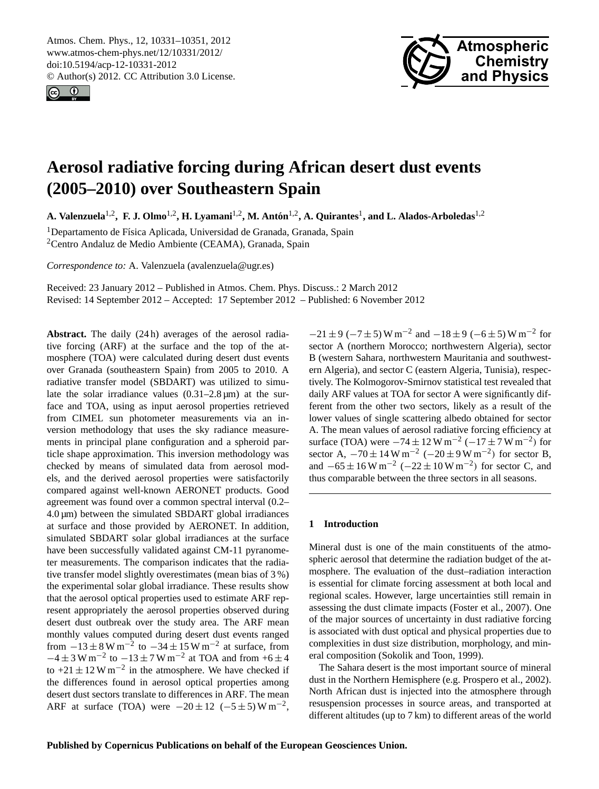<span id="page-0-0"></span>Atmos. Chem. Phys., 12, 10331–10351, 2012 www.atmos-chem-phys.net/12/10331/2012/ doi:10.5194/acp-12-10331-2012 © Author(s) 2012. CC Attribution 3.0 License.





# **Aerosol radiative forcing during African desert dust events (2005–2010) over Southeastern Spain**

**A. Valenzuela**1,2**, F. J. Olmo**1,2**, H. Lyamani**1,2**, M. Anton´** 1,2**, A. Quirantes**<sup>1</sup> **, and L. Alados-Arboledas**1,2

<sup>1</sup>Departamento de Física Aplicada, Universidad de Granada, Granada, Spain <sup>2</sup>Centro Andaluz de Medio Ambiente (CEAMA), Granada, Spain

*Correspondence to:* A. Valenzuela (avalenzuela@ugr.es)

Received: 23 January 2012 – Published in Atmos. Chem. Phys. Discuss.: 2 March 2012 Revised: 14 September 2012 – Accepted: 17 September 2012 – Published: 6 November 2012

**Abstract.** The daily (24 h) averages of the aerosol radiative forcing (ARF) at the surface and the top of the atmosphere (TOA) were calculated during desert dust events over Granada (southeastern Spain) from 2005 to 2010. A radiative transfer model (SBDART) was utilized to simulate the solar irradiance values  $(0.31-2.8 \,\text{\ensuremath{\mu}m})$  at the surface and TOA, using as input aerosol properties retrieved from CIMEL sun photometer measurements via an inversion methodology that uses the sky radiance measurements in principal plane configuration and a spheroid particle shape approximation. This inversion methodology was checked by means of simulated data from aerosol models, and the derived aerosol properties were satisfactorily compared against well-known AERONET products. Good agreement was found over a common spectral interval (0.2–  $4.0 \,\mu$ m) between the simulated SBDART global irradiances at surface and those provided by AERONET. In addition, simulated SBDART solar global irradiances at the surface have been successfully validated against CM-11 pyranometer measurements. The comparison indicates that the radiative transfer model slightly overestimates (mean bias of 3 %) the experimental solar global irradiance. These results show that the aerosol optical properties used to estimate ARF represent appropriately the aerosol properties observed during desert dust outbreak over the study area. The ARF mean monthly values computed during desert dust events ranged from  $-13 \pm 8$  W m<sup>-2</sup> to  $-34 \pm 15$  W m<sup>-2</sup> at surface, from  $-4 \pm 3$  W m<sup>-2</sup> to  $-13 \pm 7$  W m<sup>-2</sup> at TOA and from +6  $\pm$  4 to  $+21 \pm 12$  W m<sup>-2</sup> in the atmosphere. We have checked if the differences found in aerosol optical properties among desert dust sectors translate to differences in ARF. The mean ARF at surface (TOA) were  $-20 \pm 12$  (-5 ± 5) W m<sup>-2</sup>,

 $-21 \pm 9$  ( $-7 \pm 5$ ) W m<sup>-2</sup> and  $-18 \pm 9$  ( $-6 \pm 5$ ) W m<sup>-2</sup> for sector A (northern Morocco; northwestern Algeria), sector B (western Sahara, northwestern Mauritania and southwestern Algeria), and sector C (eastern Algeria, Tunisia), respectively. The Kolmogorov-Smirnov statistical test revealed that daily ARF values at TOA for sector A were significantly different from the other two sectors, likely as a result of the lower values of single scattering albedo obtained for sector A. The mean values of aerosol radiative forcing efficiency at surface (TOA) were  $-74 \pm 12$  W m<sup>-2</sup> ( $-17 \pm 7$  W m<sup>-2</sup>) for sector A,  $-70 \pm 14 \,\mathrm{W m}^{-2}$  ( $-20 \pm 9 \,\mathrm{W m}^{-2}$ ) for sector B, and  $-65 \pm 16 \,\mathrm{W m^{-2}}$  ( $-22 \pm 10 \,\mathrm{W m^{-2}}$ ) for sector C, and thus comparable between the three sectors in all seasons.

# **1 Introduction**

Mineral dust is one of the main constituents of the atmospheric aerosol that determine the radiation budget of the atmosphere. The evaluation of the dust–radiation interaction is essential for climate forcing assessment at both local and regional scales. However, large uncertainties still remain in assessing the dust climate impacts (Foster et al., 2007). One of the major sources of uncertainty in dust radiative forcing is associated with dust optical and physical properties due to complexities in dust size distribution, morphology, and mineral composition (Sokolik and Toon, 1999).

The Sahara desert is the most important source of mineral dust in the Northern Hemisphere (e.g. Prospero et al., 2002). North African dust is injected into the atmosphere through resuspension processes in source areas, and transported at different altitudes (up to 7 km) to different areas of the world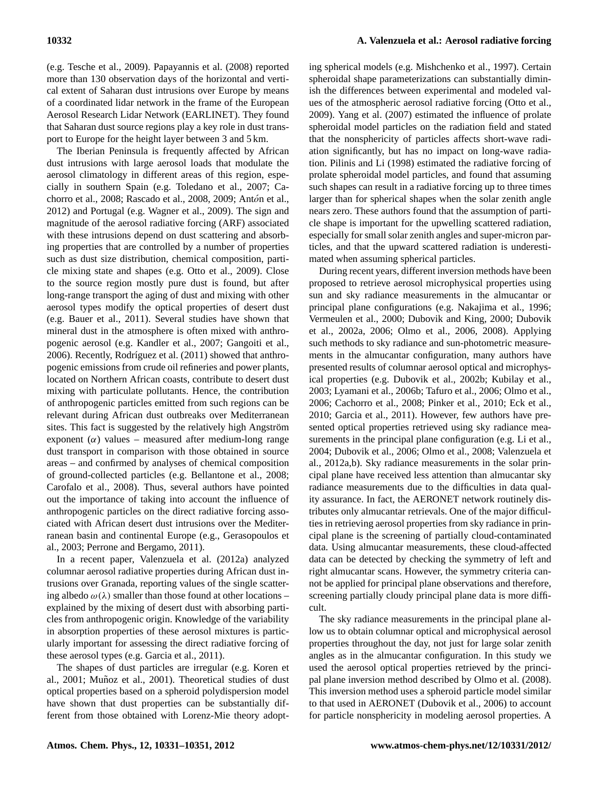(e.g. Tesche et al., 2009). Papayannis et al. (2008) reported more than 130 observation days of the horizontal and vertical extent of Saharan dust intrusions over Europe by means of a coordinated lidar network in the frame of the European Aerosol Research Lidar Network (EARLINET). They found that Saharan dust source regions play a key role in dust transport to Europe for the height layer between 3 and 5 km.

The Iberian Peninsula is frequently affected by African dust intrusions with large aerosol loads that modulate the aerosol climatology in different areas of this region, especially in southern Spain (e.g. Toledano et al., 2007; Cachorro et al., 2008; Rascado et al., 2008, 2009; Antón et al., 2012) and Portugal (e.g. Wagner et al., 2009). The sign and magnitude of the aerosol radiative forcing (ARF) associated with these intrusions depend on dust scattering and absorbing properties that are controlled by a number of properties such as dust size distribution, chemical composition, particle mixing state and shapes (e.g. Otto et al., 2009). Close to the source region mostly pure dust is found, but after long-range transport the aging of dust and mixing with other aerosol types modify the optical properties of desert dust (e.g. Bauer et al., 2011). Several studies have shown that mineral dust in the atmosphere is often mixed with anthropogenic aerosol (e.g. Kandler et al., 2007; Gangoiti et al., 2006). Recently, Rodríguez et al. (2011) showed that anthropogenic emissions from crude oil refineries and power plants, located on Northern African coasts, contribute to desert dust mixing with particulate pollutants. Hence, the contribution of anthropogenic particles emitted from such regions can be relevant during African dust outbreaks over Mediterranean sites. This fact is suggested by the relatively high Angström exponent  $(\alpha)$  values – measured after medium-long range dust transport in comparison with those obtained in source areas – and confirmed by analyses of chemical composition of ground-collected particles (e.g. Bellantone et al., 2008; Carofalo et al., 2008). Thus, several authors have pointed out the importance of taking into account the influence of anthropogenic particles on the direct radiative forcing associated with African desert dust intrusions over the Mediterranean basin and continental Europe (e.g., Gerasopoulos et al., 2003; Perrone and Bergamo, 2011).

In a recent paper, Valenzuela et al. (2012a) analyzed columnar aerosol radiative properties during African dust intrusions over Granada, reporting values of the single scattering albedo  $\omega(\lambda)$  smaller than those found at other locations – explained by the mixing of desert dust with absorbing particles from anthropogenic origin. Knowledge of the variability in absorption properties of these aerosol mixtures is particularly important for assessing the direct radiative forcing of these aerosol types (e.g. Garcia et al., 2011).

The shapes of dust particles are irregular (e.g. Koren et al., 2001; Muñoz et al., 2001). Theoretical studies of dust optical properties based on a spheroid polydispersion model have shown that dust properties can be substantially different from those obtained with Lorenz-Mie theory adopt-

ing spherical models (e.g. Mishchenko et al., 1997). Certain spheroidal shape parameterizations can substantially diminish the differences between experimental and modeled values of the atmospheric aerosol radiative forcing (Otto et al., 2009). Yang et al. (2007) estimated the influence of prolate spheroidal model particles on the radiation field and stated that the nonsphericity of particles affects short-wave radiation significantly, but has no impact on long-wave radiation. Pilinis and Li (1998) estimated the radiative forcing of prolate spheroidal model particles, and found that assuming such shapes can result in a radiative forcing up to three times larger than for spherical shapes when the solar zenith angle nears zero. These authors found that the assumption of particle shape is important for the upwelling scattered radiation, especially for small solar zenith angles and super-micron particles, and that the upward scattered radiation is underestimated when assuming spherical particles.

During recent years, different inversion methods have been proposed to retrieve aerosol microphysical properties using sun and sky radiance measurements in the almucantar or principal plane configurations (e.g. Nakajima et al., 1996; Vermeulen et al., 2000; Dubovik and King, 2000; Dubovik et al., 2002a, 2006; Olmo et al., 2006, 2008). Applying such methods to sky radiance and sun-photometric measurements in the almucantar configuration, many authors have presented results of columnar aerosol optical and microphysical properties (e.g. Dubovik et al., 2002b; Kubilay et al., 2003; Lyamani et al., 2006b; Tafuro et al., 2006; Olmo et al., 2006; Cachorro et al., 2008; Pinker et al., 2010; Eck et al., 2010; Garcia et al., 2011). However, few authors have presented optical properties retrieved using sky radiance measurements in the principal plane configuration (e.g. Li et al., 2004; Dubovik et al., 2006; Olmo et al., 2008; Valenzuela et al., 2012a,b). Sky radiance measurements in the solar principal plane have received less attention than almucantar sky radiance measurements due to the difficulties in data quality assurance. In fact, the AERONET network routinely distributes only almucantar retrievals. One of the major difficulties in retrieving aerosol properties from sky radiance in principal plane is the screening of partially cloud-contaminated data. Using almucantar measurements, these cloud-affected data can be detected by checking the symmetry of left and right almucantar scans. However, the symmetry criteria cannot be applied for principal plane observations and therefore, screening partially cloudy principal plane data is more difficult.

The sky radiance measurements in the principal plane allow us to obtain columnar optical and microphysical aerosol properties throughout the day, not just for large solar zenith angles as in the almucantar configuration. In this study we used the aerosol optical properties retrieved by the principal plane inversion method described by Olmo et al. (2008). This inversion method uses a spheroid particle model similar to that used in AERONET (Dubovik et al., 2006) to account for particle nonsphericity in modeling aerosol properties. A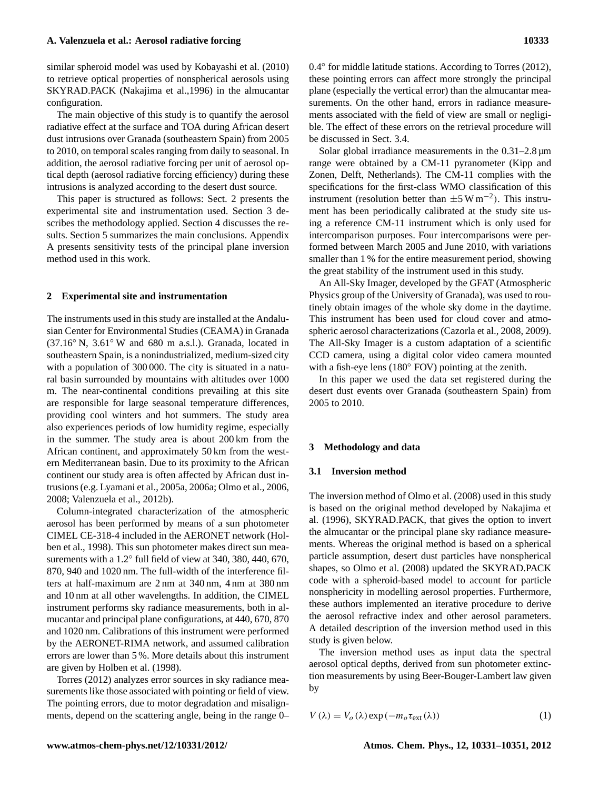similar spheroid model was used by Kobayashi et al. (2010) to retrieve optical properties of nonspherical aerosols using SKYRAD.PACK (Nakajima et al.,1996) in the almucantar configuration.

The main objective of this study is to quantify the aerosol radiative effect at the surface and TOA during African desert dust intrusions over Granada (southeastern Spain) from 2005 to 2010, on temporal scales ranging from daily to seasonal. In addition, the aerosol radiative forcing per unit of aerosol optical depth (aerosol radiative forcing efficiency) during these intrusions is analyzed according to the desert dust source.

This paper is structured as follows: Sect. 2 presents the experimental site and instrumentation used. Section 3 describes the methodology applied. Section 4 discusses the results. Section 5 summarizes the main conclusions. Appendix A presents sensitivity tests of the principal plane inversion method used in this work.

#### **2 Experimental site and instrumentation**

The instruments used in this study are installed at the Andalusian Center for Environmental Studies (CEAMA) in Granada  $(37.16°\text{ N}, 3.61°\text{ W}$  and 680 m a.s.l.). Granada, located in southeastern Spain, is a nonindustrialized, medium-sized city with a population of 300 000. The city is situated in a natural basin surrounded by mountains with altitudes over 1000 m. The near-continental conditions prevailing at this site are responsible for large seasonal temperature differences, providing cool winters and hot summers. The study area also experiences periods of low humidity regime, especially in the summer. The study area is about 200 km from the African continent, and approximately 50 km from the western Mediterranean basin. Due to its proximity to the African continent our study area is often affected by African dust intrusions (e.g. Lyamani et al., 2005a, 2006a; Olmo et al., 2006, 2008; Valenzuela et al., 2012b).

Column-integrated characterization of the atmospheric aerosol has been performed by means of a sun photometer CIMEL CE-318-4 included in the AERONET network (Holben et al., 1998). This sun photometer makes direct sun measurements with a 1.2° full field of view at 340, 380, 440, 670, 870, 940 and 1020 nm. The full-width of the interference filters at half-maximum are 2 nm at 340 nm, 4 nm at 380 nm and 10 nm at all other wavelengths. In addition, the CIMEL instrument performs sky radiance measurements, both in almucantar and principal plane configurations, at 440, 670, 870 and 1020 nm. Calibrations of this instrument were performed by the AERONET-RIMA network, and assumed calibration errors are lower than 5 %. More details about this instrument are given by Holben et al. (1998).

Torres (2012) analyzes error sources in sky radiance measurements like those associated with pointing or field of view. The pointing errors, due to motor degradation and misalignments, depend on the scattering angle, being in the range 0–

0.4◦ for middle latitude stations. According to Torres (2012), these pointing errors can affect more strongly the principal plane (especially the vertical error) than the almucantar measurements. On the other hand, errors in radiance measurements associated with the field of view are small or negligible. The effect of these errors on the retrieval procedure will be discussed in Sect. 3.4.

Solar global irradiance measurements in the  $0.31-2.8 \,\mu m$ range were obtained by a CM-11 pyranometer (Kipp and Zonen, Delft, Netherlands). The CM-11 complies with the specifications for the first-class WMO classification of this instrument (resolution better than  $\pm 5 \text{ W m}^{-2}$ ). This instrument has been periodically calibrated at the study site using a reference CM-11 instrument which is only used for intercomparison purposes. Four intercomparisons were performed between March 2005 and June 2010, with variations smaller than 1 % for the entire measurement period, showing the great stability of the instrument used in this study.

An All-Sky Imager, developed by the GFAT (Atmospheric Physics group of the University of Granada), was used to routinely obtain images of the whole sky dome in the daytime. This instrument has been used for cloud cover and atmospheric aerosol characterizations (Cazorla et al., 2008, 2009). The All-Sky Imager is a custom adaptation of a scientific CCD camera, using a digital color video camera mounted with a fish-eye lens (180◦ FOV) pointing at the zenith.

In this paper we used the data set registered during the desert dust events over Granada (southeastern Spain) from 2005 to 2010.

## **3 Methodology and data**

# **3.1 Inversion method**

The inversion method of Olmo et al. (2008) used in this study is based on the original method developed by Nakajima et al. (1996), SKYRAD.PACK, that gives the option to invert the almucantar or the principal plane sky radiance measurements. Whereas the original method is based on a spherical particle assumption, desert dust particles have nonspherical shapes, so Olmo et al. (2008) updated the SKYRAD.PACK code with a spheroid-based model to account for particle nonsphericity in modelling aerosol properties. Furthermore, these authors implemented an iterative procedure to derive the aerosol refractive index and other aerosol parameters. A detailed description of the inversion method used in this study is given below.

The inversion method uses as input data the spectral aerosol optical depths, derived from sun photometer extinction measurements by using Beer-Bouger-Lambert law given by

$$
V(\lambda) = V_o(\lambda) \exp(-m_o \tau_{ext}(\lambda))
$$
 (1)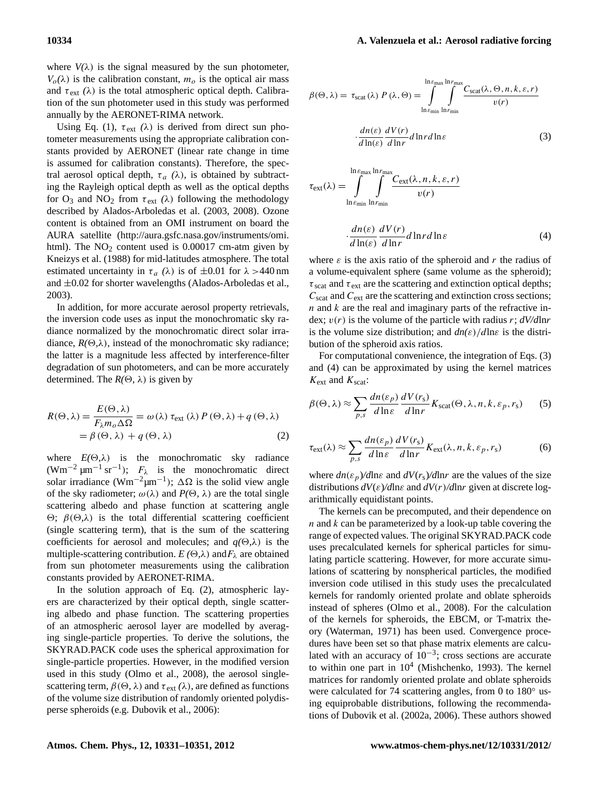where  $V(\lambda)$  is the signal measured by the sun photometer,  $V<sub>o</sub>(\lambda)$  is the calibration constant,  $m<sub>o</sub>$  is the optical air mass and  $\tau_{\rm ext}(\lambda)$  is the total atmospheric optical depth. Calibration of the sun photometer used in this study was performed annually by the AERONET-RIMA network.

Using Eq. (1),  $\tau_{ext}$  ( $\lambda$ ) is derived from direct sun photometer measurements using the appropriate calibration constants provided by AERONET (linear rate change in time is assumed for calibration constants). Therefore, the spectral aerosol optical depth,  $\tau_a$  ( $\lambda$ ), is obtained by subtracting the Rayleigh optical depth as well as the optical depths for  $O_3$  and  $NO_2$  from  $\tau_{ext}$  ( $\lambda$ ) following the methodology described by Alados-Arboledas et al. (2003, 2008). Ozone content is obtained from an OMI instrument on board the AURA satellite [\(http://aura.gsfc.nasa.gov/instruments/omi.](http://aura.gsfc.nasa.gov/instruments/omi.html) [html\)](http://aura.gsfc.nasa.gov/instruments/omi.html). The  $NO<sub>2</sub>$  content used is 0.00017 cm-atm given by Kneizys et al. (1988) for mid-latitudes atmosphere. The total estimated uncertainty in  $\tau_a$  ( $\lambda$ ) is of  $\pm 0.01$  for  $\lambda > 440$  nm and  $\pm 0.02$  for shorter wavelengths (Alados-Arboledas et al., 2003).

In addition, for more accurate aerosol property retrievals, the inversion code uses as input the monochromatic sky radiance normalized by the monochromatic direct solar irradiance,  $R(\Theta, \lambda)$ , instead of the monochromatic sky radiance; the latter is a magnitude less affected by interference-filter degradation of sun photometers, and can be more accurately determined. The  $R(\Theta, \lambda)$  is given by

$$
R(\Theta, \lambda) = \frac{E(\Theta, \lambda)}{F_{\lambda} m_o \Delta \Omega} = \omega(\lambda) \tau_{ext}(\lambda) P(\Theta, \lambda) + q(\Theta, \lambda)
$$
  
=  $\beta(\Theta, \lambda) + q(\Theta, \lambda)$  (2)

where  $E(\Theta, \lambda)$  is the monochromatic sky radiance (Wm<sup>-2</sup>  $\mu$ m<sup>-1</sup> sr<sup>-1</sup>);  $F_{\lambda}$  is the monochromatic direct solar irradiance (Wm<sup>-2</sup>µm<sup>-1</sup>);  $\Delta\Omega$  is the solid view angle of the sky radiometer;  $\omega(\lambda)$  and  $P(\Theta, \lambda)$  are the total single scattering albedo and phase function at scattering angle  $\Theta$ ;  $\beta$ ( $\Theta$ ,λ) is the total differential scattering coefficient (single scattering term), that is the sum of the scattering coefficients for aerosol and molecules; and  $q(\Theta, \lambda)$  is the multiple-scattering contribution.  $E(\Theta, \lambda)$  and  $F_\lambda$  are obtained from sun photometer measurements using the calibration constants provided by AERONET-RIMA.

In the solution approach of Eq. (2), atmospheric layers are characterized by their optical depth, single scattering albedo and phase function. The scattering properties of an atmospheric aerosol layer are modelled by averaging single-particle properties. To derive the solutions, the SKYRAD.PACK code uses the spherical approximation for single-particle properties. However, in the modified version used in this study (Olmo et al., 2008), the aerosol singlescattering term,  $\beta(\Theta, \lambda)$  and  $\tau_{ext}(\lambda)$ , are defined as functions of the volume size distribution of randomly oriented polydisperse spheroids (e.g. Dubovik et al., 2006):

$$
\beta(\Theta, \lambda) = \tau_{scat}(\lambda) P(\lambda, \Theta) = \int_{\ln \epsilon_{\text{min}}}^{\ln \epsilon_{\text{max}} \ln r_{\text{max}}} \frac{C_{scat}(\lambda, \Theta, n, k, \varepsilon, r)}{v(r)} \cdot \frac{dn(\varepsilon)}{d \ln(\varepsilon)} \frac{dV(r)}{d \ln r} d \ln r d \ln \varepsilon \tag{3}
$$

$$
\tau_{\text{ext}}(\lambda) = \int\limits_{\ln \varepsilon_{\text{min}}}^{\ln \varepsilon_{\text{max}} \ln r_{\text{min}}} \int\limits_{\ln r_{\text{min}}}^{\ln \varepsilon_{\text{ext}} \left(\lambda, n, k, \varepsilon, r\right)} v(r)
$$

$$
\cdot \frac{dn(\varepsilon)}{d\ln(\varepsilon)} \frac{dV(r)}{d\ln r} d\ln r d\ln \varepsilon \tag{4}
$$

where  $\varepsilon$  is the axis ratio of the spheroid and r the radius of a volume-equivalent sphere (same volume as the spheroid);  $\tau_{\text{scat}}$  and  $\tau_{\text{ext}}$  are the scattering and extinction optical depths;  $C_{\text{scat}}$  and  $C_{\text{ext}}$  are the scattering and extinction cross sections;  $n$  and  $k$  are the real and imaginary parts of the refractive index; v(r) is the volume of the particle with radius r; *dV/d*lnr is the volume size distribution; and  $dn(\varepsilon)/d\ln\varepsilon$  is the distribution of the spheroid axis ratios.

For computational convenience, the integration of Eqs. (3) and (4) can be approximated by using the kernel matrices  $K_{\text{ext}}$  and  $K_{\text{scat}}$ :

$$
\beta(\Theta, \lambda) \approx \sum_{p,s} \frac{dn(\varepsilon_p)}{d \ln \varepsilon} \frac{dV(r_s)}{d \ln r} K_{\text{scat}}(\Theta, \lambda, n, k, \varepsilon_p, r_s) \tag{5}
$$

$$
\tau_{\rm ext}(\lambda) \approx \sum_{p,s} \frac{dn(\varepsilon_p)}{d\ln \varepsilon} \frac{dV(r_s)}{d\ln r} K_{\rm ext}(\lambda, n, k, \varepsilon_p, r_s)
$$
(6)

where  $dn(\varepsilon_p)/d\ln \varepsilon$  and  $dV(r_s)/d\ln r$  are the values of the size distributions *dV*(ε)*/d*lnε and *dV*(r)*/d*lnr given at discrete logarithmically equidistant points.

The kernels can be precomputed, and their dependence on  $n$  and  $k$  can be parameterized by a look-up table covering the range of expected values. The original SKYRAD.PACK code uses precalculated kernels for spherical particles for simulating particle scattering. However, for more accurate simulations of scattering by nonspherical particles, the modified inversion code utilised in this study uses the precalculated kernels for randomly oriented prolate and oblate spheroids instead of spheres (Olmo et al., 2008). For the calculation of the kernels for spheroids, the EBCM, or T-matrix theory (Waterman, 1971) has been used. Convergence procedures have been set so that phase matrix elements are calculated with an accuracy of  $10^{-3}$ ; cross sections are accurate to within one part in  $10^4$  (Mishchenko, 1993). The kernel matrices for randomly oriented prolate and oblate spheroids were calculated for 74 scattering angles, from 0 to 180 $\degree$  using equiprobable distributions, following the recommendations of Dubovik et al. (2002a, 2006). These authors showed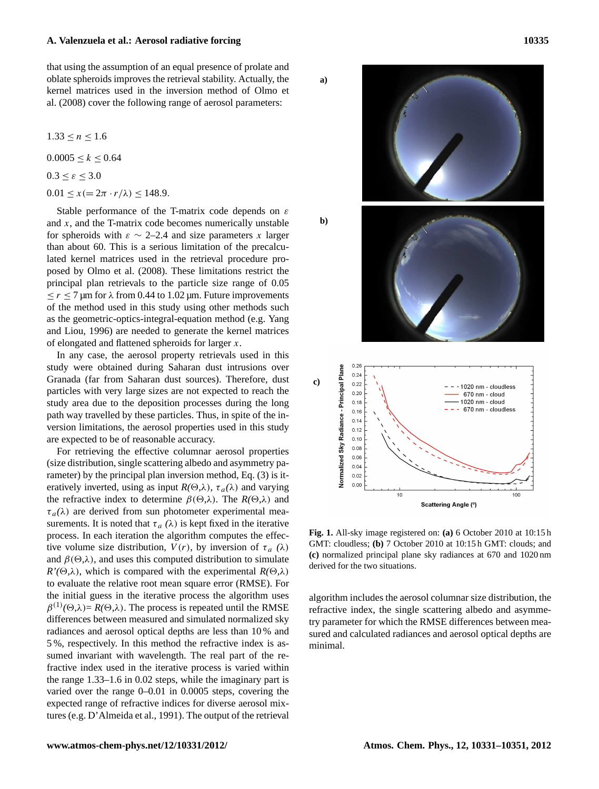that using the assumption of an equal presence of prolate and oblate spheroids improves the retrieval stability. Actually, the kernel matrices used in the inversion method of Olmo et al. (2008) cover the following range of aerosol parameters:

 $1.33 \le n \le 1.6$ 

 $0.0005 \leq k \leq 0.64$ 

$$
0.3 \leq \varepsilon \leq 3.0
$$

 $0.01 \leq x (= 2\pi \cdot r/\lambda) \leq 148.9.$ 

Stable performance of the T-matrix code depends on  $\varepsilon$ and  $x$ , and the T-matrix code becomes numerically unstable for spheroids with  $\varepsilon \sim 2-2.4$  and size parameters x larger than about 60. This is a serious limitation of the precalculated kernel matrices used in the retrieval procedure proposed by Olmo et al. (2008). These limitations restrict the principal plan retrievals to the particle size range of 0.05  $\leq r \leq 7$  µm for  $\lambda$  from 0.44 to 1.02 µm. Future improvements of the method used in this study using other methods such as the geometric-optics-integral-equation method (e.g. Yang and Liou, 1996) are needed to generate the kernel matrices of elongated and flattened spheroids for larger x.

In any case, the aerosol property retrievals used in this study were obtained during Saharan dust intrusions over Granada (far from Saharan dust sources). Therefore, dust particles with very large sizes are not expected to reach the study area due to the deposition processes during the long path way travelled by these particles. Thus, in spite of the inversion limitations, the aerosol properties used in this study are expected to be of reasonable accuracy.

For retrieving the effective columnar aerosol properties (size distribution, single scattering albedo and asymmetry parameter) by the principal plan inversion method, Eq. (3) is iteratively inverted, using as input  $R(\Theta, \lambda)$ ,  $\tau_a(\lambda)$  and varying the refractive index to determine  $\beta(\Theta,\lambda)$ . The  $R(\Theta,\lambda)$  and  $\tau_a(\lambda)$  are derived from sun photometer experimental measurements. It is noted that  $\tau_a$  ( $\lambda$ ) is kept fixed in the iterative process. In each iteration the algorithm computes the effective volume size distribution,  $V(r)$ , by inversion of  $\tau_a$  ( $\lambda$ ) and  $\beta(\Theta,\lambda)$ , and uses this computed distribution to simulate  $R'(\Theta,\lambda)$ , which is compared with the experimental  $R(\Theta,\lambda)$ to evaluate the relative root mean square error (RMSE). For the initial guess in the iterative process the algorithm uses  $\beta^{(1)}(\Theta,\lambda) = R(\Theta,\lambda)$ . The process is repeated until the RMSE differences between measured and simulated normalized sky radiances and aerosol optical depths are less than 10 % and 5 %, respectively. In this method the refractive index is assumed invariant with wavelength. The real part of the refractive index used in the iterative process is varied within the range 1.33–1.6 in 0.02 steps, while the imaginary part is varied over the range 0–0.01 in 0.0005 steps, covering the expected range of refractive indices for diverse aerosol mixtures (e.g. D'Almeida et al., 1991). The output of the retrieval



Fig. 1. All-sky image registered on:  $\overline{(a)}$  6 October 2010 at 10:15 h GMT: cloudless; **(b)** 7 October 2010 at 10:15 h GMT: clouds; and **(c)** normalized principal plane sky radiances at 670 and 1020 nm derived for the two situations.

algorithm includes the aerosol columnar size distribution, the refractive index, the single scattering albedo and asymmetry parameter for which the RMSE differences between measured and calculated radiances and aerosol optical depths are minimal.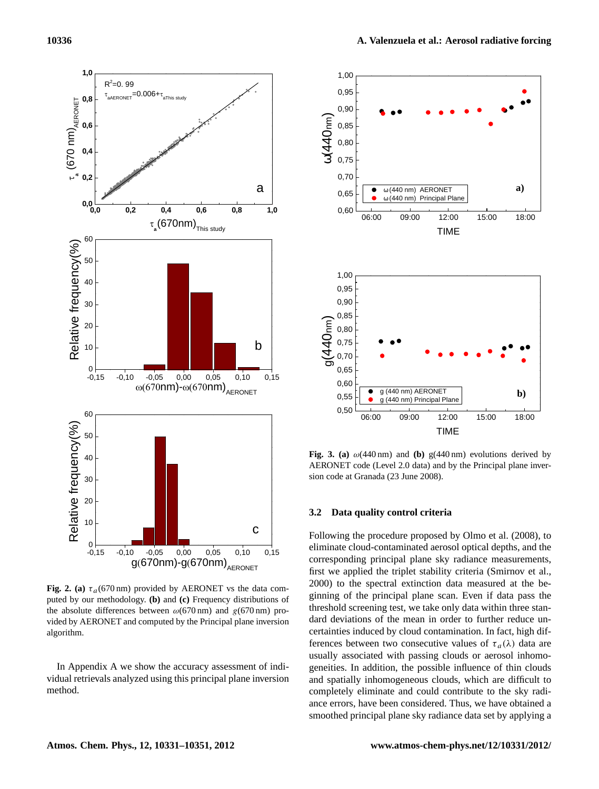

**Fig. 2. (a)**  $\tau_a$ (670 nm) provided by AERONET vs the data computed by our methodology. **(b)** and **(c)** Frequency distributions of the absolute differences between  $\omega$ (670 nm) and  $g$ (670 nm) provided by AERONET and computed by the Principal plane inversion algorithm.

In Appendix A we show the accuracy assessment of individual retrievals analyzed using this principal plane inversion method.



Fig. 3. (a)  $\omega$ (440 nm) and (b) g(440 nm) evolutions derived by AERONET code (Level 2.0 data) and by the Principal plane inversion code at Granada (23 June 2008).

## **3.2 Data quality control criteria**

threshold screening test, we take only data within three stan-Following the procedure proposed by Olmo et al. (2008), to eliminate cloud-contaminated aerosol optical depths, and the corresponding principal plane sky radiance measurements, first we applied the triplet stability criteria (Smirnov et al., 2000) to the spectral extinction data measured at the beginning of the principal plane scan. Even if data pass the dard deviations of the mean in order to further reduce uncertainties induced by cloud contamination. In fact, high differences between two consecutive values of  $\tau_a(\lambda)$  data are usually associated with passing clouds or aerosol inhomogeneities. In addition, the possible influence of thin clouds and spatially inhomogeneous clouds, which are difficult to completely eliminate and could contribute to the sky radiance errors, have been considered. Thus, we have obtained a smoothed principal plane sky radiance data set by applying a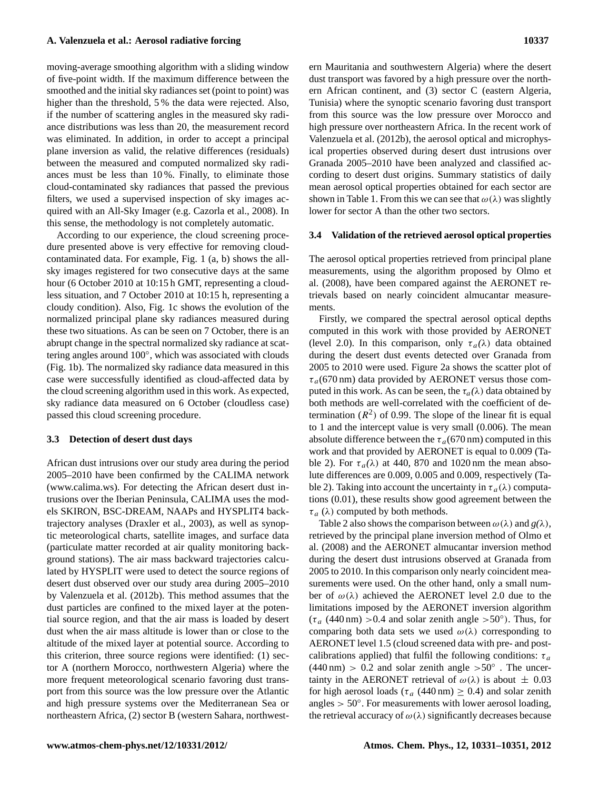moving-average smoothing algorithm with a sliding window of five-point width. If the maximum difference between the smoothed and the initial sky radiances set (point to point) was higher than the threshold, 5 % the data were rejected. Also, if the number of scattering angles in the measured sky radiance distributions was less than 20, the measurement record was eliminated. In addition, in order to accept a principal plane inversion as valid, the relative differences (residuals) between the measured and computed normalized sky radiances must be less than 10 %. Finally, to eliminate those cloud-contaminated sky radiances that passed the previous filters, we used a supervised inspection of sky images acquired with an All-Sky Imager (e.g. Cazorla et al., 2008). In this sense, the methodology is not completely automatic.

According to our experience, the cloud screening procedure presented above is very effective for removing cloudcontaminated data. For example, Fig. 1 (a, b) shows the allsky images registered for two consecutive days at the same hour (6 October 2010 at 10:15 h GMT, representing a cloudless situation, and 7 October 2010 at 10:15 h, representing a cloudy condition). Also, Fig. 1c shows the evolution of the normalized principal plane sky radiances measured during these two situations. As can be seen on 7 October, there is an abrupt change in the spectral normalized sky radiance at scattering angles around 100°, which was associated with clouds (Fig. 1b). The normalized sky radiance data measured in this case were successfully identified as cloud-affected data by the cloud screening algorithm used in this work. As expected, sky radiance data measured on 6 October (cloudless case) passed this cloud screening procedure.

#### **3.3 Detection of desert dust days**

African dust intrusions over our study area during the period 2005–2010 have been confirmed by the CALIMA network [\(www.calima.ws\)](www.calima.ws). For detecting the African desert dust intrusions over the Iberian Peninsula, CALIMA uses the models SKIRON, BSC-DREAM, NAAPs and HYSPLIT4 backtrajectory analyses (Draxler et al., 2003), as well as synoptic meteorological charts, satellite images, and surface data (particulate matter recorded at air quality monitoring background stations). The air mass backward trajectories calculated by HYSPLIT were used to detect the source regions of desert dust observed over our study area during 2005–2010 by Valenzuela et al. (2012b). This method assumes that the dust particles are confined to the mixed layer at the potential source region, and that the air mass is loaded by desert dust when the air mass altitude is lower than or close to the altitude of the mixed layer at potential source. According to this criterion, three source regions were identified: (1) sector A (northern Morocco, northwestern Algeria) where the more frequent meteorological scenario favoring dust transport from this source was the low pressure over the Atlantic and high pressure systems over the Mediterranean Sea or northeastern Africa, (2) sector B (western Sahara, northwestern Mauritania and southwestern Algeria) where the desert dust transport was favored by a high pressure over the northern African continent, and (3) sector C (eastern Algeria, Tunisia) where the synoptic scenario favoring dust transport from this source was the low pressure over Morocco and high pressure over northeastern Africa. In the recent work of Valenzuela et al. (2012b), the aerosol optical and microphysical properties observed during desert dust intrusions over Granada 2005–2010 have been analyzed and classified according to desert dust origins. Summary statistics of daily mean aerosol optical properties obtained for each sector are shown in Table 1. From this we can see that  $\omega(\lambda)$  was slightly lower for sector A than the other two sectors.

#### **3.4 Validation of the retrieved aerosol optical properties**

The aerosol optical properties retrieved from principal plane measurements, using the algorithm proposed by Olmo et al. (2008), have been compared against the AERONET retrievals based on nearly coincident almucantar measurements.

Firstly, we compared the spectral aerosol optical depths computed in this work with those provided by AERONET (level 2.0). In this comparison, only  $\tau_a(\lambda)$  data obtained during the desert dust events detected over Granada from 2005 to 2010 were used. Figure 2a shows the scatter plot of  $\tau_a$ (670 nm) data provided by AERONET versus those computed in this work. As can be seen, the  $\tau_a(\lambda)$  data obtained by both methods are well-correlated with the coefficient of determination  $(R^2)$  of 0.99. The slope of the linear fit is equal to 1 and the intercept value is very small (0.006). The mean absolute difference between the  $\tau_a$  (670 nm) computed in this work and that provided by AERONET is equal to 0.009 (Table 2). For  $\tau_a(\lambda)$  at 440, 870 and 1020 nm the mean absolute differences are 0.009, 0.005 and 0.009, respectively (Table 2). Taking into account the uncertainty in  $\tau_a(\lambda)$  computations (0.01), these results show good agreement between the  $\tau_a$  ( $\lambda$ ) computed by both methods.

Table 2 also shows the comparison between  $\omega(\lambda)$  and  $g(\lambda)$ , retrieved by the principal plane inversion method of Olmo et al. (2008) and the AERONET almucantar inversion method during the desert dust intrusions observed at Granada from 2005 to 2010. In this comparison only nearly coincident measurements were used. On the other hand, only a small number of  $\omega(\lambda)$  achieved the AERONET level 2.0 due to the limitations imposed by the AERONET inversion algorithm  $(\tau_a (440 \text{ nm}) > 0.4$  and solar zenith angle >50°). Thus, for comparing both data sets we used  $\omega(\lambda)$  corresponding to AERONET level 1.5 (cloud screened data with pre- and postcalibrations applied) that fulfil the following conditions:  $\tau_a$  $(440 \text{ nm}) > 0.2$  and solar zenith angle  $> 50^\circ$ . The uncertainty in the AERONET retrieval of  $\omega(\lambda)$  is about  $\pm$  0.03 for high aerosol loads ( $\tau_a$  (440 nm)  $\geq$  0.4) and solar zenith angles > 50◦ . For measurements with lower aerosol loading, the retrieval accuracy of  $\omega(\lambda)$  significantly decreases because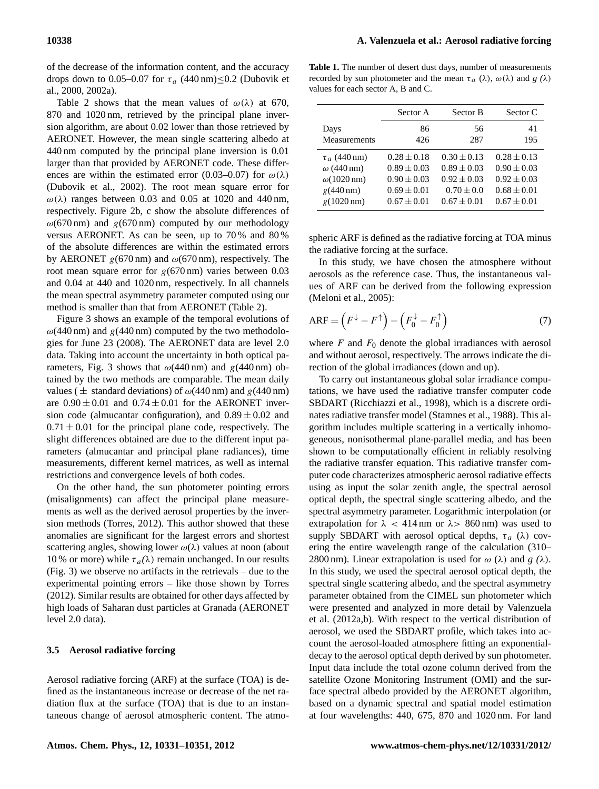of the decrease of the information content, and the accuracy drops down to 0.05–0.07 for  $\tau_a$  (440 nm)≤0.2 (Dubovik et al., 2000, 2002a).

Table 2 shows that the mean values of  $\omega(\lambda)$  at 670, 870 and 1020 nm, retrieved by the principal plane inversion algorithm, are about 0.02 lower than those retrieved by AERONET. However, the mean single scattering albedo at 440 nm computed by the principal plane inversion is 0.01 larger than that provided by AERONET code. These differences are within the estimated error (0.03–0.07) for  $\omega(\lambda)$ (Dubovik et al., 2002). The root mean square error for  $\omega(\lambda)$  ranges between 0.03 and 0.05 at 1020 and 440 nm, respectively. Figure 2b, c show the absolute differences of  $\omega$ (670 nm) and g(670 nm) computed by our methodology versus AERONET. As can be seen, up to 70 % and 80 % of the absolute differences are within the estimated errors by AERONET  $g(670 \text{ nm})$  and  $\omega(670 \text{ nm})$ , respectively. The root mean square error for  $g(670 \text{ nm})$  varies between 0.03 and 0.04 at 440 and 1020 nm, respectively. In all channels the mean spectral asymmetry parameter computed using our method is smaller than that from AERONET (Table 2).

Figure 3 shows an example of the temporal evolutions of  $\omega$ (440 nm) and g(440 nm) computed by the two methodologies for June 23 (2008). The AERONET data are level 2.0 data. Taking into account the uncertainty in both optical parameters, Fig. 3 shows that  $\omega$ (440 nm) and g(440 nm) obtained by the two methods are comparable. The mean daily values ( $\pm$  standard deviations) of  $\omega$ (440 nm) and g(440 nm) are  $0.90 \pm 0.01$  and  $0.74 \pm 0.01$  for the AERONET inversion code (almucantar configuration), and  $0.89 \pm 0.02$  and  $0.71 \pm 0.01$  for the principal plane code, respectively. The slight differences obtained are due to the different input parameters (almucantar and principal plane radiances), time measurements, different kernel matrices, as well as internal restrictions and convergence levels of both codes.

On the other hand, the sun photometer pointing errors (misalignments) can affect the principal plane measurements as well as the derived aerosol properties by the inversion methods (Torres, 2012). This author showed that these anomalies are significant for the largest errors and shortest scattering angles, showing lower  $\omega(\lambda)$  values at noon (about 10 % or more) while  $\tau_a(\lambda)$  remain unchanged. In our results (Fig. 3) we observe no artifacts in the retrievals – due to the experimental pointing errors – like those shown by Torres (2012). Similar results are obtained for other days affected by high loads of Saharan dust particles at Granada (AERONET level 2.0 data).

## **3.5 Aerosol radiative forcing**

Aerosol radiative forcing (ARF) at the surface (TOA) is defined as the instantaneous increase or decrease of the net radiation flux at the surface (TOA) that is due to an instantaneous change of aerosol atmospheric content. The atmo-

**Table 1.** The number of desert dust days, number of measurements recorded by sun photometer and the mean  $\tau_a$  ( $\lambda$ ),  $\omega(\lambda)$  and *g* ( $\lambda$ ) values for each sector A, B and C.

|                           | Sector A        | Sector B        | Sector C        |
|---------------------------|-----------------|-----------------|-----------------|
| Days                      | 86              | 56              | 41              |
| Measurements              | 426             | 287             | 195             |
| $\tau_a$ (440 nm)         | $0.28 \pm 0.18$ | $0.30 \pm 0.13$ | $0.28 \pm 0.13$ |
| $\omega$ (440 nm)         | $0.89 \pm 0.03$ | $0.89 \pm 0.03$ | $0.90 \pm 0.03$ |
| $\omega(1020 \text{ nm})$ | $0.90 \pm 0.03$ | $0.92 \pm 0.03$ | $0.92 \pm 0.03$ |
| $g(440 \text{ nm})$       | $0.69 \pm 0.01$ | $0.70 \pm 0.0$  | $0.68 \pm 0.01$ |
| $g(1020 \text{ nm})$      | $0.67 + 0.01$   | $0.67 + 0.01$   | $0.67 \pm 0.01$ |

spheric ARF is defined as the radiative forcing at TOA minus the radiative forcing at the surface.

In this study, we have chosen the atmosphere without aerosols as the reference case. Thus, the instantaneous values of ARF can be derived from the following expression (Meloni et al., 2005):

<span id="page-7-0"></span>
$$
ARF = (F^{\downarrow} - F^{\uparrow}) - (F_0^{\downarrow} - F_0^{\uparrow})
$$
\n(7)

where  $F$  and  $F_0$  denote the global irradiances with aerosol and without aerosol, respectively. The arrows indicate the direction of the global irradiances (down and up).

To carry out instantaneous global solar irradiance computations, we have used the radiative transfer computer code SBDART (Ricchiazzi et al., 1998), which is a discrete ordinates radiative transfer model (Stamnes et al., 1988). This algorithm includes multiple scattering in a vertically inhomogeneous, nonisothermal plane-parallel media, and has been shown to be computationally efficient in reliably resolving the radiative transfer equation. This radiative transfer computer code characterizes atmospheric aerosol radiative effects using as input the solar zenith angle, the spectral aerosol optical depth, the spectral single scattering albedo, and the spectral asymmetry parameter. Logarithmic interpolation (or extrapolation for  $\lambda$  < 414 nm or  $\lambda$  > 860 nm) was used to supply SBDART with aerosol optical depths,  $\tau_a$  ( $\lambda$ ) covering the entire wavelength range of the calculation (310– 2800 nm). Linear extrapolation is used for  $\omega$  ( $\lambda$ ) and  $g$  ( $\lambda$ ). In this study, we used the spectral aerosol optical depth, the spectral single scattering albedo, and the spectral asymmetry parameter obtained from the CIMEL sun photometer which were presented and analyzed in more detail by Valenzuela et al. (2012a,b). With respect to the vertical distribution of aerosol, we used the SBDART profile, which takes into account the aerosol-loaded atmosphere fitting an exponentialdecay to the aerosol optical depth derived by sun photometer. Input data include the total ozone column derived from the satellite Ozone Monitoring Instrument (OMI) and the surface spectral albedo provided by the AERONET algorithm, based on a dynamic spectral and spatial model estimation at four wavelengths: 440, 675, 870 and 1020 nm. For land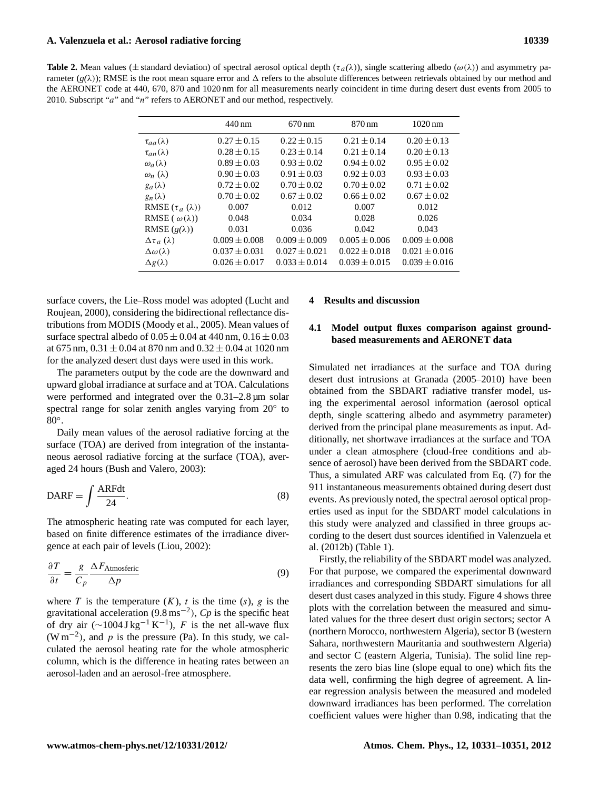**Table 2.** Mean values ( $\pm$  standard deviation) of spectral aerosol optical depth ( $\tau_a(\lambda)$ ), single scattering albedo ( $\omega(\lambda)$ ) and asymmetry parameter  $(g(\lambda))$ ; RMSE is the root mean square error and  $\Delta$  refers to the absolute differences between retrievals obtained by our method and the AERONET code at 440, 670, 870 and 1020 nm for all measurements nearly coincident in time during desert dust events from 2005 to 2010. Subscript "a" and "n" refers to AERONET and our method, respectively.

|                            | 440 nm            | $670 \,\mathrm{nm}$ | 870 nm            | $1020 \,\mathrm{nm}$ |
|----------------------------|-------------------|---------------------|-------------------|----------------------|
| $\tau_{aa}(\lambda)$       | $0.27 \pm 0.15$   | $0.22 \pm 0.15$     | $0.21 \pm 0.14$   | $0.20 \pm 0.13$      |
| $\tau_{an}(\lambda)$       | $0.28 \pm 0.15$   | $0.23 \pm 0.14$     | $0.21 \pm 0.14$   | $0.20 \pm 0.13$      |
| $\omega_a(\lambda)$        | $0.89 \pm 0.03$   | $0.93 \pm 0.02$     | $0.94 \pm 0.02$   | $0.95 \pm 0.02$      |
| $\omega_n(\lambda)$        | $0.90 \pm 0.03$   | $0.91 \pm 0.03$     | $0.92 \pm 0.03$   | $0.93 \pm 0.03$      |
| $g_a(\lambda)$             | $0.72 \pm 0.02$   | $0.70 \pm 0.02$     | $0.70 \pm 0.02$   | $0.71 \pm 0.02$      |
| $g_n(\lambda)$             | $0.70 \pm 0.02$   | $0.67 \pm 0.02$     | $0.66 \pm 0.02$   | $0.67 \pm 0.02$      |
| RMSE $(\tau_a(\lambda))$   | 0.007             | 0.012               | 0.007             | 0.012                |
| RMSE ( $\omega(\lambda)$ ) | 0.048             | 0.034               | 0.028             | 0.026                |
| RMSE $(g(\lambda))$        | 0.031             | 0.036               | 0.042             | 0.043                |
| $\Delta\tau_a(\lambda)$    | $0.009 \pm 0.008$ | $0.009 \pm 0.009$   | $0.005 \pm 0.006$ | $0.009 \pm 0.008$    |
| $\Delta\omega(\lambda)$    | $0.037 \pm 0.031$ | $0.027 \pm 0.021$   | $0.022 \pm 0.018$ | $0.021 \pm 0.016$    |
| $\Delta g(\lambda)$        | $0.026 \pm 0.017$ | $0.033 \pm 0.014$   | $0.039 \pm 0.015$ | $0.039 \pm 0.016$    |

surface covers, the Lie–Ross model was adopted (Lucht and Roujean, 2000), considering the bidirectional reflectance distributions from MODIS (Moody et al., 2005). Mean values of surface spectral albedo of  $0.05 \pm 0.04$  at 440 nm,  $0.16 \pm 0.03$ at 675 nm,  $0.31 \pm 0.04$  at 870 nm and  $0.32 \pm 0.04$  at 1020 nm for the analyzed desert dust days were used in this work.

The parameters output by the code are the downward and upward global irradiance at surface and at TOA. Calculations were performed and integrated over the 0.31–2.8 µm solar spectral range for solar zenith angles varying from 20° to 80◦ .

Daily mean values of the aerosol radiative forcing at the surface (TOA) are derived from integration of the instantaneous aerosol radiative forcing at the surface (TOA), averaged 24 hours (Bush and Valero, 2003):

$$
DARF = \int \frac{ARFdt}{24}.
$$
 (8)

The atmospheric heating rate was computed for each layer, based on finite difference estimates of the irradiance divergence at each pair of levels (Liou, 2002):

$$
\frac{\partial T}{\partial t} = \frac{g}{C_p} \frac{\Delta F_{\text{Atmosferic}}}{\Delta p} \tag{9}
$$

where T is the temperature  $(K)$ , t is the time  $(s)$ , g is the gravitational acceleration  $(9.8 \text{ ms}^{-2})$ ,  $Cp$  is the specific heat of dry air  $(\sim 1004 \text{ J kg}^{-1} \text{ K}^{-1})$ , F is the net all-wave flux  $(W m^{-2})$ , and p is the pressure (Pa). In this study, we calculated the aerosol heating rate for the whole atmospheric column, which is the difference in heating rates between an aerosol-laden and an aerosol-free atmosphere.

# **4 Results and discussion**

# **4.1 Model output fluxes comparison against groundbased measurements and AERONET data**

Simulated net irradiances at the surface and TOA during desert dust intrusions at Granada (2005–2010) have been obtained from the SBDART radiative transfer model, using the experimental aerosol information (aerosol optical depth, single scattering albedo and asymmetry parameter) derived from the principal plane measurements as input. Additionally, net shortwave irradiances at the surface and TOA under a clean atmosphere (cloud-free conditions and absence of aerosol) have been derived from the SBDART code. Thus, a simulated ARF was calculated from Eq. [\(7\)](#page-7-0) for the 911 instantaneous measurements obtained during desert dust events. As previously noted, the spectral aerosol optical properties used as input for the SBDART model calculations in this study were analyzed and classified in three groups according to the desert dust sources identified in Valenzuela et al. (2012b) (Table 1).

Firstly, the reliability of the SBDART model was analyzed. For that purpose, we compared the experimental downward irradiances and corresponding SBDART simulations for all desert dust cases analyzed in this study. Figure 4 shows three plots with the correlation between the measured and simulated values for the three desert dust origin sectors; sector A (northern Morocco, northwestern Algeria), sector B (western Sahara, northwestern Mauritania and southwestern Algeria) and sector C (eastern Algeria, Tunisia). The solid line represents the zero bias line (slope equal to one) which fits the data well, confirming the high degree of agreement. A linear regression analysis between the measured and modeled downward irradiances has been performed. The correlation coefficient values were higher than 0.98, indicating that the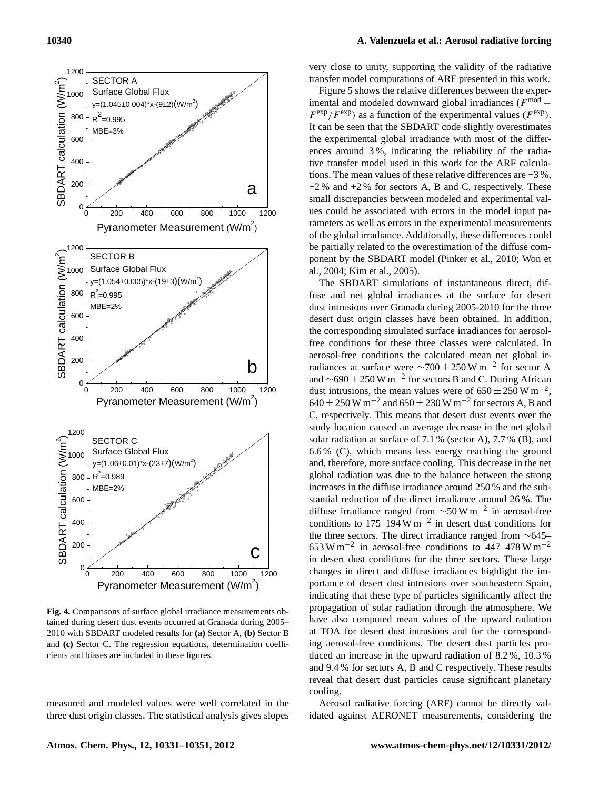

**Fig. 4.** Comparisons of surface global irradiance measurements obtained during desert dust events occurred at Granada during 2005– 2010 with SBDART modeled results for **(a)** Sector A, **(b)** Sector B and **(c)** Sector C. The regression equations, determination coefficients and biases are included in these figures.

measured and modeled values were well correlated in the three dust origin classes. The statistical analysis gives slopes

# **10340 A. Valenzuela et al.: Aerosol radiative forcing**

very close to unity, supporting the validity of the radiative transfer model computations of ARF presented in this work.

Figure 5 shows the relative differences between the experimental and modeled downward global irradiances ( $F^{\text{mod}}$  –  $F^{\text{exp}}/F^{\text{exp}}$ ) as a function of the experimental values ( $F^{\text{exp}}$ ). It can be seen that the SBDART code slightly overestimates the experimental global irradiance with most of the differences around 3 %, indicating the reliability of the radiative transfer model used in this work for the ARF calculations. The mean values of these relative differences are  $+3\%$ ,  $+2\%$  and  $+2\%$  for sectors A, B and C, respectively. These small discrepancies between modeled and experimental values could be associated with errors in the model input parameters as well as errors in the experimental measurements of the global irradiance. Additionally, these differences could be partially related to the overestimation of the diffuse component by the SBDART model (Pinker et al., 2010; Won et al., 2004; Kim et al., 2005).

ing aerosol-free conditions. The desert dust particles pro-The SBDART simulations of instantaneous direct, diffuse and net global irradiances at the surface for desert dust intrusions over Granada during 2005-2010 for the three desert dust origin classes have been obtained. In addition, the corresponding simulated surface irradiances for aerosolfree conditions for these three classes were calculated. In aerosol-free conditions the calculated mean net global irradiances at surface were  $\sim$ 700 ± 250 W m<sup>-2</sup> for sector A and  $\sim$ 690 ± 250 W m<sup>-2</sup> for sectors B and C. During African dust intrusions, the mean values were of  $650 \pm 250$  W m<sup>-2</sup>,  $640 \pm 250$  W m<sup>-2</sup> and  $650 \pm 230$  W m<sup>-2</sup> for sectors A, B and C, respectively. This means that desert dust events over the study location caused an average decrease in the net global solar radiation at surface of 7.1 % (sector A), 7.7 % (B), and 6.6 % (C), which means less energy reaching the ground and, therefore, more surface cooling. This decrease in the net global radiation was due to the balance between the strong increases in the diffuse irradiance around 250 % and the substantial reduction of the direct irradiance around 26 %. The diffuse irradiance ranged from  $\sim$ 50 W m<sup>-2</sup> in aerosol-free conditions to  $175-194$  W m<sup>-2</sup> in desert dust conditions for the three sectors. The direct irradiance ranged from ∼645– 653 W m−<sup>2</sup> in aerosol-free conditions to 447–478 W m−<sup>2</sup> in desert dust conditions for the three sectors. These large changes in direct and diffuse irradiances highlight the importance of desert dust intrusions over southeastern Spain, indicating that these type of particles significantly affect the propagation of solar radiation through the atmosphere. We have also computed mean values of the upward radiation at TOA for desert dust intrusions and for the correspondduced an increase in the upward radiation of 8.2 %, 10.3 % and 9.4 % for sectors A, B and C respectively. These results reveal that desert dust particles cause significant planetary cooling.

Aerosol radiative forcing (ARF) cannot be directly validated against AERONET measurements, considering the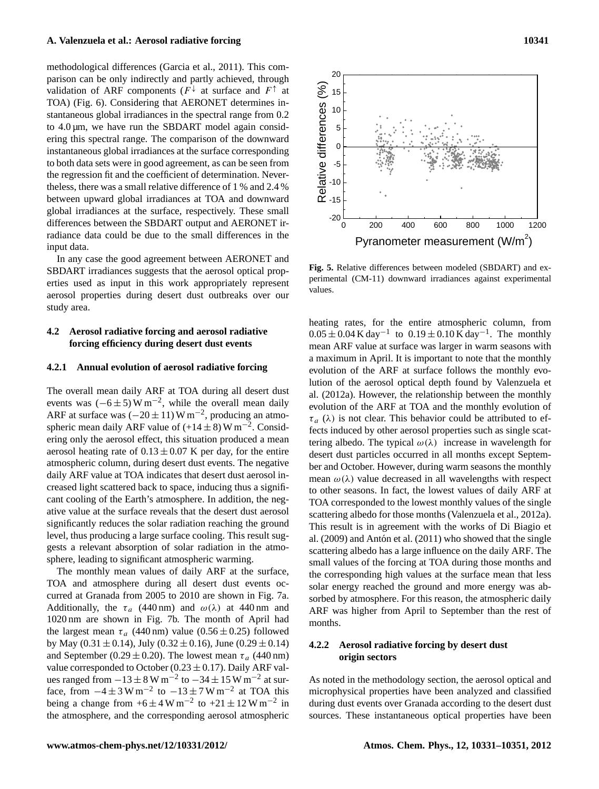methodological differences (Garcia et al., 2011). This comparison can be only indirectly and partly achieved, through validation of ARF components ( $F^{\downarrow}$  at surface and  $F^{\uparrow}$  at TOA) (Fig. 6). Considering that AERONET determines instantaneous global irradiances in the spectral range from 0.2 to  $4.0 \mu m$ , we have run the SBDART model again considering this spectral range. The comparison of the downward instantaneous global irradiances at the surface corresponding to both data sets were in good agreement, as can be seen from the regression fit and the coefficient of determination. Nevertheless, there was a small relative difference of 1 % and 2.4 % between upward global irradiances at TOA and downward global irradiances at the surface, respectively. These small differences between the SBDART output and AERONET irradiance data could be due to the small differences in the input data.

In any case the good agreement between AERONET and SBDART irradiances suggests that the aerosol optical properties used as input in this work appropriately represent aerosol properties during desert dust outbreaks over our study area.

# **4.2 Aerosol radiative forcing and aerosol radiative forcing efficiency during desert dust events**

## **4.2.1 Annual evolution of aerosol radiative forcing**

The overall mean daily ARF at TOA during all desert dust events was  $(-6 \pm 5)$  W m<sup>-2</sup>, while the overall mean daily ARF at surface was  $(-20 \pm 11)$  W m<sup>-2</sup>, producing an atmospheric mean daily ARF value of  $(+14 \pm 8)$  W m<sup>-2</sup>. Considering only the aerosol effect, this situation produced a mean aerosol heating rate of  $0.13 \pm 0.07$  K per day, for the entire atmospheric column, during desert dust events. The negative daily ARF value at TOA indicates that desert dust aerosol increased light scattered back to space, inducing thus a significant cooling of the Earth's atmosphere. In addition, the negative value at the surface reveals that the desert dust aerosol significantly reduces the solar radiation reaching the ground level, thus producing a large surface cooling. This result suggests a relevant absorption of solar radiation in the atmosphere, leading to significant atmospheric warming.

The monthly mean values of daily ARF at the surface, TOA and atmosphere during all desert dust events occurred at Granada from 2005 to 2010 are shown in Fig. 7a. Additionally, the  $\tau_a$  (440 nm) and  $\omega(\lambda)$  at 440 nm and 1020 nm are shown in Fig. 7b. The month of April had the largest mean  $\tau_a$  (440 nm) value (0.56  $\pm$  0.25) followed by May (0.31  $\pm$  0.14), July (0.32  $\pm$  0.16), June (0.29  $\pm$  0.14) and September (0.29  $\pm$  0.20). The lowest mean  $\tau_a$  (440 nm) value corresponded to October (0.23  $\pm$  0.17). Daily ARF values ranged from  $-13 \pm 8$  W m<sup>-2</sup> to  $-34 \pm 15$  W m<sup>-2</sup> at surface, from  $-4 \pm 3$  W m<sup>-2</sup> to  $-13 \pm 7$  W m<sup>-2</sup> at TOA this being a change from  $+6 \pm 4$  W m<sup>-2</sup> to  $+21 \pm 12$  W m<sup>-2</sup> in the atmosphere, and the corresponding aerosol atmospheric



**Fig. 5.** Relative differences between modeled (SBDART) and experimental (CM-11) downward irradiances against experimental values.

heating rates, for the entire atmospheric column, from  $0.05 \pm 0.04$  K day<sup>-1</sup> to  $0.19 \pm 0.10$  K day<sup>-1</sup>. The monthly mean ARF value at surface was larger in warm seasons with a maximum in April. It is important to note that the monthly evolution of the ARF at surface follows the monthly evolution of the aerosol optical depth found by Valenzuela et al. (2012a). However, the relationship between the monthly evolution of the ARF at TOA and the monthly evolution of  $\tau_a$  ( $\lambda$ ) is not clear. This behavior could be attributed to effects induced by other aerosol properties such as single scattering albedo. The typical  $\omega(\lambda)$  increase in wavelength for desert dust particles occurred in all months except September and October. However, during warm seasons the monthly mean  $\omega(\lambda)$  value decreased in all wavelengths with respect to other seasons. In fact, the lowest values of daily ARF at TOA corresponded to the lowest monthly values of the single scattering albedo for those months (Valenzuela et al., 2012a). This result is in agreement with the works of Di Biagio et al.  $(2009)$  and Antón et al.  $(2011)$  who showed that the single scattering albedo has a large influence on the daily ARF. The small values of the forcing at TOA during those months and the corresponding high values at the surface mean that less solar energy reached the ground and more energy was absorbed by atmosphere. For this reason, the atmospheric daily ARF was higher from April to September than the rest of months.

# **4.2.2 Aerosol radiative forcing by desert dust origin sectors**

As noted in the methodology section, the aerosol optical and microphysical properties have been analyzed and classified during dust events over Granada according to the desert dust sources. These instantaneous optical properties have been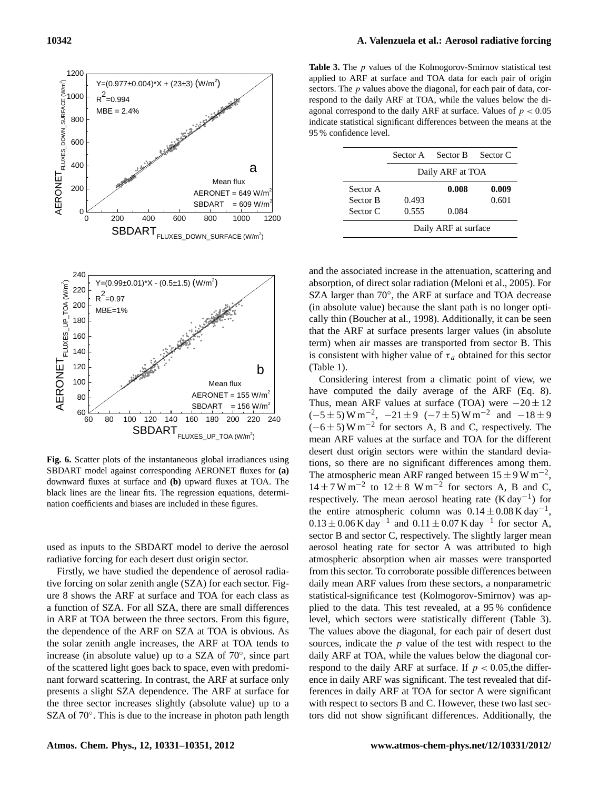

**Fig. 6.** Scatter plots of the instantaneous global irradiances using SBDART model against corresponding AERONET fluxes for **(a)** downward fluxes at surface and **(b)** upward fluxes at TOA. The black lines are the linear fits. The regression equations, determination coefficients and biases are included in these figures.

used as inputs to the SBDART model to derive the aerosol radiative forcing for each desert dust origin sector.

Firstly, we have studied the dependence of aerosol radiative forcing on solar zenith angle (SZA) for each sector. Figure 8 shows the ARF at surface and TOA for each class as a function of SZA. For all SZA, there are small differences in ARF at TOA between the three sectors. From this figure, the dependence of the ARF on SZA at TOA is obvious. As the solar zenith angle increases, the ARF at TOA tends to increase (in absolute value) up to a SZA of 70◦ , since part of the scattered light goes back to space, even with predominant forward scattering. In contrast, the ARF at surface only presents a slight SZA dependence. The ARF at surface for the three sector increases slightly (absolute value) up to a SZA of 70°. This is due to the increase in photon path length

**Table 3.** The *p* values of the Kolmogorov-Smirnov statistical test applied to ARF at surface and TOA data for each pair of origin sectors. The *p* values above the diagonal, for each pair of data, correspond to the daily ARF at TOA, while the values below the diagonal correspond to the daily ARF at surface. Values of  $p < 0.05$ indicate statistical significant differences between the means at the 95 % confidence level.

|          | Sector B<br>Sector A |                  | Sector C |  |  |
|----------|----------------------|------------------|----------|--|--|
|          |                      | Daily ARF at TOA |          |  |  |
| Sector A |                      | 0.008            | 0.009    |  |  |
| Sector B | 0.493                |                  | 0.601    |  |  |
| Sector C | 0.555                | 0.084            |          |  |  |
|          | Daily ARF at surface |                  |          |  |  |

and the associated increase in the attenuation, scattering and absorption, of direct solar radiation (Meloni et al., 2005). For SZA larger than 70°, the ARF at surface and TOA decrease (in absolute value) because the slant path is no longer optically thin (Boucher at al., 1998). Additionally, it can be seen that the ARF at surface presents larger values (in absolute term) when air masses are transported from sector B. This is consistent with higher value of  $\tau_a$  obtained for this sector (Table 1).

level, which sectors were statistically different (Table 3). Considering interest from a climatic point of view, we have computed the daily average of the ARF (Eq. 8). Thus, mean ARF values at surface (TOA) were  $-20 \pm 12$  $(-5 \pm 5)$  W m<sup>-2</sup>,  $-21 \pm 9$   $(-7 \pm 5)$  W m<sup>-2</sup> and  $-18 \pm 9$  $(-6 \pm 5)$  W m<sup>-2</sup> for sectors A, B and C, respectively. The mean ARF values at the surface and TOA for the different desert dust origin sectors were within the standard deviations, so there are no significant differences among them. The atmospheric mean ARF ranged between  $15 \pm 9$  W m<sup>-2</sup>,  $14 \pm 7$  W m<sup>-2</sup> to  $12 \pm 8$  W m<sup>-2</sup> for sectors A, B and C, respectively. The mean aerosol heating rate  $(K day^{-1})$  for the entire atmospheric column was  $0.14 \pm 0.08$  K day<sup>-1</sup>,  $0.13 \pm 0.06$  K day<sup>-1</sup> and  $0.11 \pm 0.07$  K day<sup>-1</sup> for sector A, sector B and sector C, respectively. The slightly larger mean aerosol heating rate for sector A was attributed to high atmospheric absorption when air masses were transported from this sector. To corroborate possible differences between daily mean ARF values from these sectors, a nonparametric statistical-significance test (Kolmogorov-Smirnov) was applied to the data. This test revealed, at a 95 % confidence The values above the diagonal, for each pair of desert dust sources, indicate the  $p$  value of the test with respect to the daily ARF at TOA, while the values below the diagonal correspond to the daily ARF at surface. If  $p < 0.05$ , the difference in daily ARF was significant. The test revealed that differences in daily ARF at TOA for sector A were significant with respect to sectors B and C. However, these two last sectors did not show significant differences. Additionally, the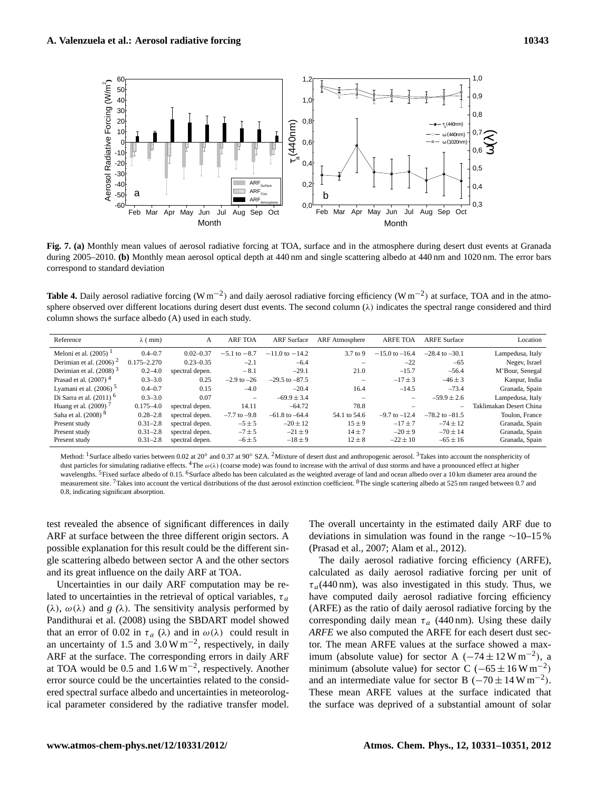

**Fig. 7. (a)** Monthly mean values of aerosol radiative forcing at TOA, surface and in the atmosphere during desert dust events at Granada during 2005–2010. **(b)** Monthly mean aerosol optical depth at 440 nm and single scattering albedo at 440 nm and 1020 nm. The error bars correspond to standard deviation

Table 4. Daily aerosol radiative forcing (W m<sup>-2</sup>) and daily aerosol radiative forcing efficiency (W m<sup>-2</sup>) at surface, TOA and in the atmosphere observed over different locations during desert dust events. The second column  $(\lambda)$  indicates the spectral range considered and third column shows the surface albedo (A) used in each study.

| Reference                       | $\lambda$ (mm)  | А               | <b>ARF TOA</b>   | <b>ARF</b> Surface | <b>ARF</b> Atmosphere    | <b>ARFE TOA</b>    | <b>ARFE Surface</b> | Location                |
|---------------------------------|-----------------|-----------------|------------------|--------------------|--------------------------|--------------------|---------------------|-------------------------|
| Meloni et al. $(2005)^{1}$      | $0.4 - 0.7$     | $0.02 - 0.37$   | $-5.1$ to $-8.7$ | $-11.0$ to $-14.2$ | $3.7$ to 9               | $-15.0$ to $-16.4$ | $-28.4$ to $-30.1$  | Lampedusa, Italy        |
| Derimian et al. $(2006)^2$      | $0.175 - 2.270$ | $0.23 - 0.35$   | $-2.1$           | $-6.4$             |                          | $-22$              | $-65$               | Negev, Israel           |
| Derimian et al. $(2008)^3$      | $0.2 - 4.0$     | spectral depen. | $-8.1$           | $-29.1$            | 21.0                     | $-15.7$            | $-56.4$             | M'Bour, Senegal         |
| Prasad et al. $(2007)^4$        | $0.3 - 3.0$     | 0.25            | $-2.9$ to $-26$  | $-29.5$ to $-87.5$ |                          | $-17 + 3$          | $-46 + 3$           | Kanpur, India           |
| Lyamani et al. $(2006)^5$       | $0.4 - 0.7$     | 0.15            | $-4.0$           | $-20.4$            | 16.4                     | $-14.5$            | $-73.4$             | Granada, Spain          |
| Di Sarra et al. $(2011)^6$      | $0.3 - 3.0$     | 0.07            |                  | $-69.9 \pm 3.4$    | $\overline{\phantom{a}}$ | -                  | $-59.9 \pm 2.6$     | Lampedusa, Italy        |
| Huang et al. $(2009)^7$         | $0.175 - 4.0$   | spectral depen. | 14.11            | $-64.72$           | 78.8                     |                    |                     | Taklimakan Desert China |
| Saha et al. (2008) <sup>8</sup> | $0.28 - 2.8$    | spectral depen. | $-7.7$ to $-9.8$ | $-61.8$ to $-64.4$ | 54.1 to 54.6             | $-9.7$ to $-12.4$  | $-78.2$ to $-81.5$  | Toulon, France          |
| Present study                   | $0.31 - 2.8$    | spectral depen. | $-5 \pm 5$       | $-20 \pm 12$       | $15 \pm 9$               | $-17 + 7$          | $-74 + 12$          | Granada, Spain          |
| Present study                   | $0.31 - 2.8$    | spectral depen. | $-7 \pm 5$       | $-21 \pm 9$        | $14 + 7$                 | $-20 + 9$          | $-70 + 14$          | Granada, Spain          |
| Present study                   | $0.31 - 2.8$    | spectral depen. | $-6 \pm 5$       | $-18 \pm 9$        | $12 \pm 8$               | $-22 \pm 10$       | $-65 \pm 16$        | Granada, Spain          |

Method: <sup>1</sup>Surface albedo varies between 0.02 at 20° and 0.37 at 90° SZA. <sup>2</sup>Mixture of desert dust and anthropogenic aerosol. <sup>3</sup>Takes into account the nonsphericity of dust particles for simulating radiative effects. <sup>4</sup>The  $\omega(\lambda)$  (coarse mode) was found to increase with the arrival of dust storms and have a pronounced effect at higher wavelengths. <sup>5</sup>Fixed surface albedo of 0.15. <sup>6</sup>Surface albedo has been calculated as the weighted average of land and ocean albedo over a 10 km diameter area around the measurement site. <sup>7</sup>Takes into account the vertical distributions of the dust aerosol extinction coefficient. <sup>8</sup>The single scattering albedo at 525 nm ranged between 0.7 and 0.8, indicating significant absorption.

test revealed the absence of significant differences in daily ARF at surface between the three different origin sectors. A possible explanation for this result could be the different single scattering albedo between sector A and the other sectors and its great influence on the daily ARF at TOA.

Uncertainties in our daily ARF computation may be related to uncertainties in the retrieval of optical variables,  $\tau_a$ ( $\lambda$ ),  $\omega(\lambda)$  and *g* ( $\lambda$ ). The sensitivity analysis performed by Pandithurai et al. (2008) using the SBDART model showed that an error of 0.02 in  $\tau_a$  ( $\lambda$ ) and in  $\omega(\lambda)$  could result in an uncertainty of 1.5 and  $3.0 \text{ W m}^{-2}$ , respectively, in daily ARF at the surface. The corresponding errors in daily ARF at TOA would be 0.5 and  $1.6 \,\mathrm{W\,m^{-2}}$ , respectively. Another error source could be the uncertainties related to the considered spectral surface albedo and uncertainties in meteorological parameter considered by the radiative transfer model. The overall uncertainty in the estimated daily ARF due to deviations in simulation was found in the range ∼10–15 % (Prasad et al., 2007; Alam et al., 2012).

The daily aerosol radiative forcing efficiency (ARFE), calculated as daily aerosol radiative forcing per unit of  $\tau_a$ (440 nm), was also investigated in this study. Thus, we have computed daily aerosol radiative forcing efficiency (ARFE) as the ratio of daily aerosol radiative forcing by the corresponding daily mean  $\tau_a$  (440 nm). Using these daily *ARFE* we also computed the ARFE for each desert dust sector. The mean ARFE values at the surface showed a maximum (absolute value) for sector A  $(-74 \pm 12 \,\text{W m}^{-2})$ , a minimum (absolute value) for sector C ( $-65 \pm 16$  W m<sup>-2</sup>) and an intermediate value for sector B  $(-70 \pm 14 \,\text{W m}^{-2})$ . These mean ARFE values at the surface indicated that the surface was deprived of a substantial amount of solar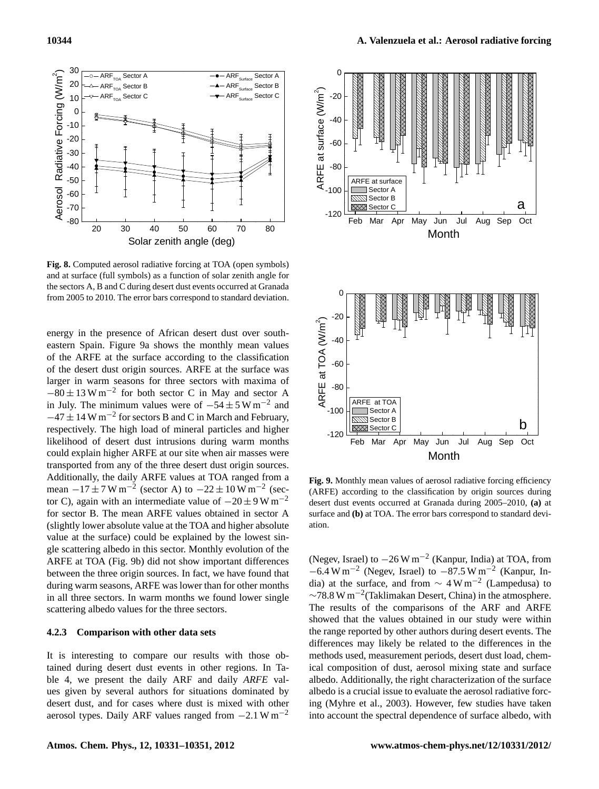

**Fig. 8.** Computed aerosol radiative forcing at TOA (open symbols) and at surface (full symbols) as a function of solar zenith angle for the sectors A, B and C during desert dust events occurred at Granada from 2005 to 2010. The error bars correspond to standard deviation.

likelihood of desert dust intrusions during warm months energy in the presence of African desert dust over southeastern Spain. Figure 9a shows the monthly mean values of the ARFE at the surface according to the classification of the desert dust origin sources. ARFE at the surface was larger in warm seasons for three sectors with maxima of  $-80 \pm 13$  W m<sup>-2</sup> for both sector C in May and sector A in July. The minimum values were of  $-54 \pm 5 \,\mathrm{W\,m^{-2}}$  and  $-47 \pm 14$  W m<sup>-2</sup> for sectors B and C in March and February, respectively. The high load of mineral particles and higher could explain higher ARFE at our site when air masses were transported from any of the three desert dust origin sources. Additionally, the daily ARFE values at TOA ranged from a mean  $-17 \pm 7 \,\text{W m}^{-2}$  (sector A) to  $-22 \pm 10 \,\text{W m}^{-2}$  (sector C), again with an intermediate value of  $-20 \pm 9$  W m<sup>-2</sup> for sector B. The mean ARFE values obtained in sector A (slightly lower absolute value at the TOA and higher absolute value at the surface) could be explained by the lowest single scattering albedo in this sector. Monthly evolution of the ARFE at TOA (Fig. 9b) did not show important differences between the three origin sources. In fact, we have found that during warm seasons, ARFE was lower than for other months in all three sectors. In warm months we found lower single scattering albedo values for the three sectors.

# **4.2.3 Comparison with other data sets**

It is interesting to compare our results with those obtained during desert dust events in other regions. In Table 4, we present the daily ARF and daily *ARFE* values given by several authors for situations dominated by desert dust, and for cases where dust is mixed with other aerosol types. Daily ARF values ranged from  $-2.1 \text{ W m}^{-2}$ 



**Fig. 9.** Monthly mean values of aerosol radiative forcing efficiency (ARFE) according to the classification by origin sources during desert dust events occurred at Granada during 2005–2010, **(a)** at surface and **(b)** at TOA. The error bars correspond to standard deviation.

(Negev, Israel) to −26 W m−<sup>2</sup> (Kanpur, India) at TOA, from  $-6.4 \text{ W m}^{-2}$  (Negev, Israel) to  $-87.5 \text{ W m}^{-2}$  (Kanpur, India) at the surface, and from  $\sim 4 \,\mathrm{W\,m}^{-2}$  (Lampedusa) to ∼78.8 W m−<sup>2</sup> (Taklimakan Desert, China) in the atmosphere. The results of the comparisons of the ARF and ARFE showed that the values obtained in our study were within the range reported by other authors during desert events. The differences may likely be related to the differences in the methods used, measurement periods, desert dust load, chemical composition of dust, aerosol mixing state and surface albedo. Additionally, the right characterization of the surface albedo is a crucial issue to evaluate the aerosol radiative forcing (Myhre et al., 2003). However, few studies have taken into account the spectral dependence of surface albedo, with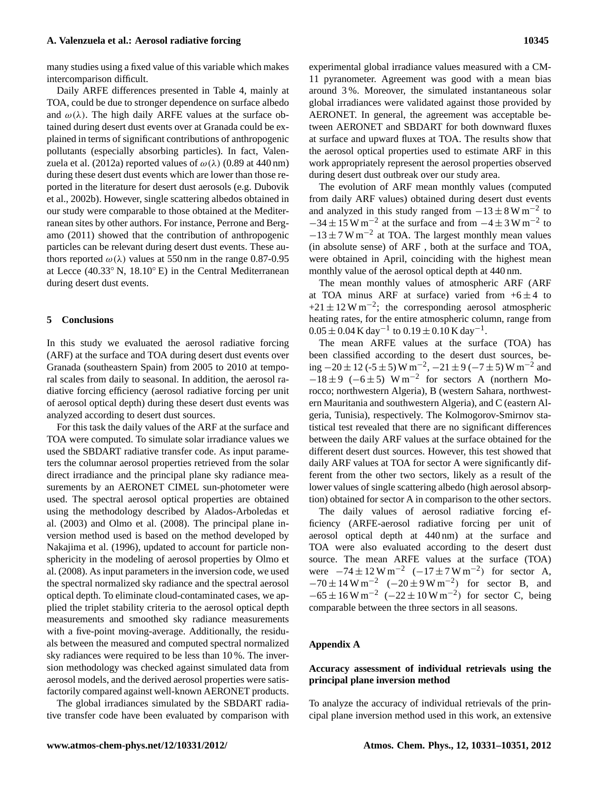many studies using a fixed value of this variable which makes intercomparison difficult.

Daily ARFE differences presented in Table 4, mainly at TOA, could be due to stronger dependence on surface albedo and  $\omega(\lambda)$ . The high daily ARFE values at the surface obtained during desert dust events over at Granada could be explained in terms of significant contributions of anthropogenic pollutants (especially absorbing particles). In fact, Valenzuela et al. (2012a) reported values of  $\omega(\lambda)$  (0.89 at 440 nm) during these desert dust events which are lower than those reported in the literature for desert dust aerosols (e.g. Dubovik et al., 2002b). However, single scattering albedos obtained in our study were comparable to those obtained at the Mediterranean sites by other authors. For instance, Perrone and Bergamo (2011) showed that the contribution of anthropogenic particles can be relevant during desert dust events. These authors reported  $\omega(\lambda)$  values at 550 nm in the range 0.87-0.95 at Lecce (40.33◦ N, 18.10◦ E) in the Central Mediterranean during desert dust events.

## **5 Conclusions**

In this study we evaluated the aerosol radiative forcing (ARF) at the surface and TOA during desert dust events over Granada (southeastern Spain) from 2005 to 2010 at temporal scales from daily to seasonal. In addition, the aerosol radiative forcing efficiency (aerosol radiative forcing per unit of aerosol optical depth) during these desert dust events was analyzed according to desert dust sources.

For this task the daily values of the ARF at the surface and TOA were computed. To simulate solar irradiance values we used the SBDART radiative transfer code. As input parameters the columnar aerosol properties retrieved from the solar direct irradiance and the principal plane sky radiance measurements by an AERONET CIMEL sun-photometer were used. The spectral aerosol optical properties are obtained using the methodology described by Alados-Arboledas et al. (2003) and Olmo et al. (2008). The principal plane inversion method used is based on the method developed by Nakajima et al. (1996), updated to account for particle nonsphericity in the modeling of aerosol properties by Olmo et al. (2008). As input parameters in the inversion code, we used the spectral normalized sky radiance and the spectral aerosol optical depth. To eliminate cloud-contaminated cases, we applied the triplet stability criteria to the aerosol optical depth measurements and smoothed sky radiance measurements with a five-point moving-average. Additionally, the residuals between the measured and computed spectral normalized sky radiances were required to be less than 10 %. The inversion methodology was checked against simulated data from aerosol models, and the derived aerosol properties were satisfactorily compared against well-known AERONET products.

The global irradiances simulated by the SBDART radiative transfer code have been evaluated by comparison with

experimental global irradiance values measured with a CM-11 pyranometer. Agreement was good with a mean bias around 3 %. Moreover, the simulated instantaneous solar global irradiances were validated against those provided by AERONET. In general, the agreement was acceptable between AERONET and SBDART for both downward fluxes at surface and upward fluxes at TOA. The results show that the aerosol optical properties used to estimate ARF in this work appropriately represent the aerosol properties observed during desert dust outbreak over our study area.

The evolution of ARF mean monthly values (computed from daily ARF values) obtained during desert dust events and analyzed in this study ranged from  $-13 \pm 8$  W m<sup>-2</sup> to  $-34 \pm 15$  W m<sup>-2</sup> at the surface and from  $-4 \pm 3$  W m<sup>-2</sup> to  $-13 \pm 7$  W m<sup>-2</sup> at TOA. The largest monthly mean values (in absolute sense) of ARF , both at the surface and TOA, were obtained in April, coinciding with the highest mean monthly value of the aerosol optical depth at 440 nm.

The mean monthly values of atmospheric ARF (ARF at TOA minus ARF at surface) varied from  $+6 \pm 4$  to  $+21 \pm 12$  W m<sup>-2</sup>; the corresponding aerosol atmospheric heating rates, for the entire atmospheric column, range from  $0.05 \pm 0.04$  K day<sup>-1</sup> to  $0.19 \pm 0.10$  K day<sup>-1</sup>.

The mean ARFE values at the surface (TOA) has been classified according to the desert dust sources, being  $-20 \pm 12$  (-5 ± 5) W m<sup>-2</sup>,  $-21 \pm 9$  (-7 ± 5) W m<sup>-2</sup> and  $-18 \pm 9$  (-6±5) W m<sup>-2</sup> for sectors A (northern Morocco; northwestern Algeria), B (western Sahara, northwestern Mauritania and southwestern Algeria), and C (eastern Algeria, Tunisia), respectively. The Kolmogorov-Smirnov statistical test revealed that there are no significant differences between the daily ARF values at the surface obtained for the different desert dust sources. However, this test showed that daily ARF values at TOA for sector A were significantly different from the other two sectors, likely as a result of the lower values of single scattering albedo (high aerosol absorption) obtained for sector A in comparison to the other sectors.

The daily values of aerosol radiative forcing efficiency (ARFE-aerosol radiative forcing per unit of aerosol optical depth at 440 nm) at the surface and TOA were also evaluated according to the desert dust source. The mean ARFE values at the surface (TOA) were  $-74 \pm 12 \,\text{W m}^{-2}$   $(-17 \pm 7 \,\text{W m}^{-2})$  for sector A,  $-70 \pm 14 \,\mathrm{W m}^{-2}$  ( $-20 \pm 9 \,\mathrm{W m}^{-2}$ ) for sector B, and  $-65 \pm 16$  W m<sup>-2</sup> (-22  $\pm 10$  W m<sup>-2</sup>) for sector C, being comparable between the three sectors in all seasons.

# **Appendix A**

# **Accuracy assessment of individual retrievals using the principal plane inversion method**

To analyze the accuracy of individual retrievals of the principal plane inversion method used in this work, an extensive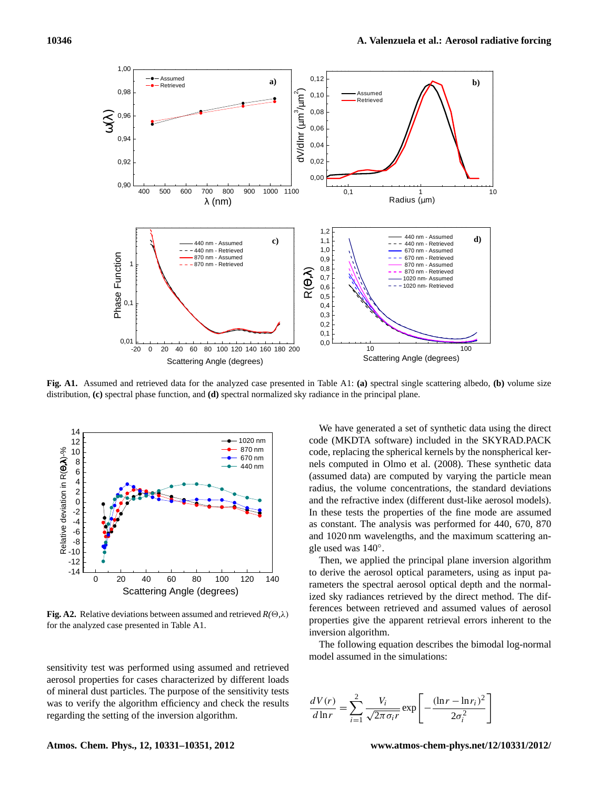

**Fig. A1.** Assumed and retrieved data for the analyzed case presented in Table A1: **(a)** spectral single scattering albedo, **(b)** volume size distribution, **(c)** spectral phase function, and **(d)** spectral normalized sky radiance in the principal plane.



**Fig. A2.** Relative deviations between assumed and retrieved  $R(\Theta, \lambda)$ for the analyzed case presented in Table A1.

sensitivity test was performed using assumed and retrieved aerosol properties for cases characterized by different loads of mineral dust particles. The purpose of the sensitivity tests was to verify the algorithm efficiency and check the results regarding the setting of the inversion algorithm.

We have generated a set of synthetic data using the direct code (MKDTA software) included in the SKYRAD.PACK code, replacing the spherical kernels by the nonspherical kernels computed in Olmo et al. (2008). These synthetic data (assumed data) are computed by varying the particle mean radius, the volume concentrations, the standard deviations and the refractive index (different dust-like aerosol models). In these tests the properties of the fine mode are assumed as constant. The analysis was performed for 440, 670, 870 and 1020 nm wavelengths, and the maximum scattering angle used was 140◦ .

Then, we applied the principal plane inversion algorithm to derive the aerosol optical parameters, using as input parameters the spectral aerosol optical depth and the normalized sky radiances retrieved by the direct method. The differences between retrieved and assumed values of aerosol properties give the apparent retrieval errors inherent to the inversion algorithm.

The following equation describes the bimodal log-normal model assumed in the simulations:

$$
\frac{dV(r)}{d\ln r} = \sum_{i=1}^{2} \frac{V_i}{\sqrt{2\pi \sigma_i r}} \exp\left[-\frac{(\ln r - \ln r_i)^2}{2\sigma_i^2}\right]
$$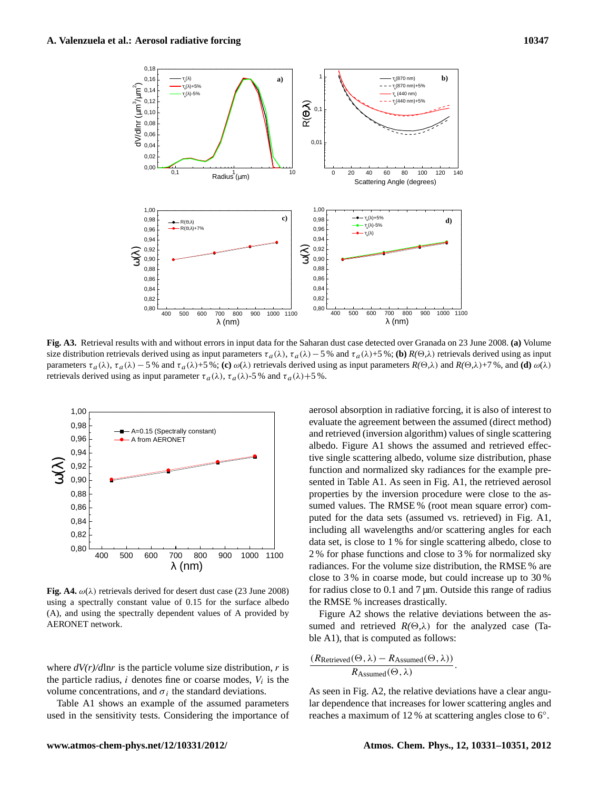

**Fig. A3.** Retrieval results with and without errors in input data for the Saharan dust case detected over Granada on 23 June 2008. **(a)** Volume size distribution retrievals derived using as input parameters  $\tau_a(\lambda)$ ,  $\tau_a(\lambda)$  – 5 % and  $\tau_a(\lambda)+5$  %; **(b)**  $R(\Theta,\lambda)$  retrievals derived using as input parameters  $\tau_a(\lambda)$ ,  $\tau_a(\lambda) - 5$  % and  $\tau_a(\lambda) + 5$  %; **(c)**  $\omega(\lambda)$  retrievals derived using as input parameters  $R(\Theta, \lambda)$  and  $R(\Theta, \lambda) + 7$  %, and **(d)**  $\omega(\lambda)$ retrievals derived using as input parameter  $\tau_a(\lambda)$ ,  $\tau_a(\lambda)$ -5 % and  $\tau_a(\lambda)$ +5 %.



**Fig. A4.**  $\omega(\lambda)$  retrievals derived for desert dust case (23 June 2008) using a spectrally constant value of 0.15 for the surface albedo (A), and using the spectrally dependent values of A provided by AERONET network.

where  $dV(r)/d\ln r$  is the particle volume size distribution, r is the particle radius,  $i$  denotes fine or coarse modes,  $V_i$  is the volume concentrations, and  $\sigma_i$  the standard deviations.

Table A1 shows an example of the assumed parameters used in the sensitivity tests. Considering the importance of

function and normalized sky radiances for the example preaerosol absorption in radiative forcing, it is also of interest to evaluate the agreement between the assumed (direct method) and retrieved (inversion algorithm) values of single scattering albedo. Figure A1 shows the assumed and retrieved effective single scattering albedo, volume size distribution, phase sented in Table A1. As seen in Fig. A1, the retrieved aerosol properties by the inversion procedure were close to the assumed values. The RMSE % (root mean square error) computed for the data sets (assumed vs. retrieved) in Fig. A1, including all wavelengths and/or scattering angles for each data set, is close to 1 % for single scattering albedo, close to 2 % for phase functions and close to 3 % for normalized sky radiances. For the volume size distribution, the RMSE % are close to 3 % in coarse mode, but could increase up to 30 % for radius close to  $0.1$  and  $7 \mu m$ . Outside this range of radius the RMSE % increases drastically.

Figure A2 shows the relative deviations between the assumed and retrieved  $R(\Theta,\lambda)$  for the analyzed case (Table A1), that is computed as follows:

$$
\frac{(R_{Retrieved}(\Theta,\lambda)-R_{Assumed}(\Theta,\lambda))}{R_{Assumed}(\Theta,\lambda)}.
$$

As seen in Fig. A2, the relative deviations have a clear angular dependence that increases for lower scattering angles and reaches a maximum of 12 % at scattering angles close to 6◦ .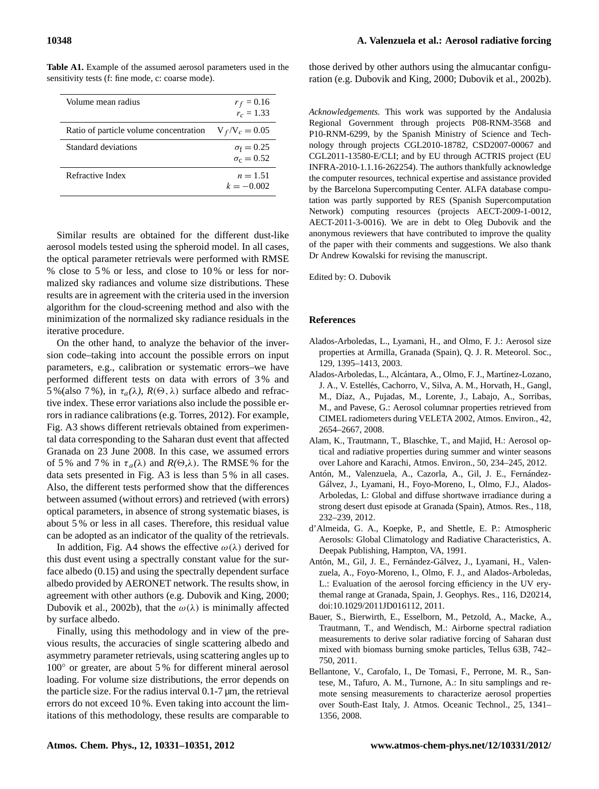| Volume mean radius                     | $r_f = 0.16$<br>$r_c = 1.33$           |
|----------------------------------------|----------------------------------------|
| Ratio of particle volume concentration | $V_f/V_c = 0.05$                       |
| Standard deviations                    | $\sigma_f = 0.25$<br>$\sigma_c = 0.52$ |
| Refractive Index                       | $n = 1.51$<br>$k = -0.002$             |

**Table A1.** Example of the assumed aerosol parameters used in the sensitivity tests (f: fine mode, c: coarse mode).

Similar results are obtained for the different dust-like aerosol models tested using the spheroid model. In all cases, the optical parameter retrievals were performed with RMSE % close to 5 % or less, and close to 10 % or less for normalized sky radiances and volume size distributions. These results are in agreement with the criteria used in the inversion algorithm for the cloud-screening method and also with the minimization of the normalized sky radiance residuals in the iterative procedure.

On the other hand, to analyze the behavior of the inversion code–taking into account the possible errors on input parameters, e.g., calibration or systematic errors–we have performed different tests on data with errors of 3 % and 5%(also 7%), in  $\tau_a(\lambda)$ ,  $R(\Theta, \lambda)$  surface albedo and refractive index. These error variations also include the possible errors in radiance calibrations (e.g. Torres, 2012). For example, Fig. A3 shows different retrievals obtained from experimental data corresponding to the Saharan dust event that affected Granada on 23 June 2008. In this case, we assumed errors of 5% and 7% in  $\tau_a(\lambda)$  and  $R(\Theta,\lambda)$ . The RMSE% for the data sets presented in Fig. A3 is less than 5 % in all cases. Also, the different tests performed show that the differences between assumed (without errors) and retrieved (with errors) optical parameters, in absence of strong systematic biases, is about 5 % or less in all cases. Therefore, this residual value can be adopted as an indicator of the quality of the retrievals.

In addition, Fig. A4 shows the effective  $\omega(\lambda)$  derived for this dust event using a spectrally constant value for the surface albedo (0.15) and using the spectrally dependent surface albedo provided by AERONET network. The results show, in agreement with other authors (e.g. Dubovik and King, 2000; Dubovik et al., 2002b), that the  $\omega(\lambda)$  is minimally affected by surface albedo.

Finally, using this methodology and in view of the previous results, the accuracies of single scattering albedo and asymmetry parameter retrievals, using scattering angles up to 100◦ or greater, are about 5 % for different mineral aerosol loading. For volume size distributions, the error depends on the particle size. For the radius interval 0.1-7 µm, the retrieval errors do not exceed 10 %. Even taking into account the limitations of this methodology, these results are comparable to those derived by other authors using the almucantar configuration (e.g. Dubovik and King, 2000; Dubovik et al., 2002b).

*Acknowledgements.* This work was supported by the Andalusia Regional Government through projects P08-RNM-3568 and P10-RNM-6299, by the Spanish Ministry of Science and Technology through projects CGL2010-18782, CSD2007-00067 and CGL2011-13580-E/CLI; and by EU through ACTRIS project (EU INFRA-2010-1.1.16-262254). The authors thankfully acknowledge the computer resources, technical expertise and assistance provided by the Barcelona Supercomputing Center. ALFA database computation was partly supported by RES (Spanish Supercomputation Network) computing resources (projects AECT-2009-1-0012, AECT-2011-3-0016). We are in debt to Oleg Dubovik and the anonymous reviewers that have contributed to improve the quality of the paper with their comments and suggestions. We also thank Dr Andrew Kowalski for revising the manuscript.

Edited by: O. Dubovik

## **References**

- Alados-Arboledas, L., Lyamani, H., and Olmo, F. J.: Aerosol size properties at Armilla, Granada (Spain), Q. J. R. Meteorol. Soc., 129, 1395–1413, 2003.
- Alados-Arboledas, L., Alcántara, A., Olmo, F. J., Martínez-Lozano, J. A., V. Estellés, Cachorro, V., Silva, A. M., Horvath, H., Gangl, M., Díaz, A., Pujadas, M., Lorente, J., Labajo, A., Sorribas, M., and Pavese, G.: Aerosol columnar properties retrieved from CIMEL radiometers during VELETA 2002, Atmos. Environ., 42, 2654–2667, 2008.
- Alam, K., Trautmann, T., Blaschke, T., and Majid, H.: Aerosol optical and radiative properties during summer and winter seasons over Lahore and Karachi, Atmos. Environ., 50, 234–245, 2012.
- Antón, M., Valenzuela, A., Cazorla, A., Gil, J. E., Fernández-Galvez, J., Lyamani, H., Foyo-Moreno, I., Olmo, F.J., Alados- ´ Arboledas, L: Global and diffuse shortwave irradiance during a strong desert dust episode at Granada (Spain), Atmos. Res., 118, 232–239, 2012.
- d'Almeida, G. A., Koepke, P., and Shettle, E. P.: Atmospheric Aerosols: Global Climatology and Radiative Characteristics, A. Deepak Publishing, Hampton, VA, 1991.
- Antón, M., Gil, J. E., Fernández-Gálvez, J., Lyamani, H., Valenzuela, A., Foyo-Moreno, I., Olmo, F. J., and Alados-Arboledas, L.: Evaluation of the aerosol forcing efficiency in the UV erythemal range at Granada, Spain, J. Geophys. Res., 116, D20214, [doi:10.1029/2011JD016112,](http://dx.doi.org/10.1029/2011JD016112) 2011.
- Bauer, S., Bierwirth, E., Esselborn, M., Petzold, A., Macke, A., Trautmann, T., and Wendisch, M.: Airborne spectral radiation measurements to derive solar radiative forcing of Saharan dust mixed with biomass burning smoke particles, Tellus 63B, 742– 750, 2011.
- Bellantone, V., Carofalo, I., De Tomasi, F., Perrone, M. R., Santese, M., Tafuro, A. M., Turnone, A.: In situ samplings and remote sensing measurements to characterize aerosol properties over South-East Italy, J. Atmos. Oceanic Technol., 25, 1341– 1356, 2008.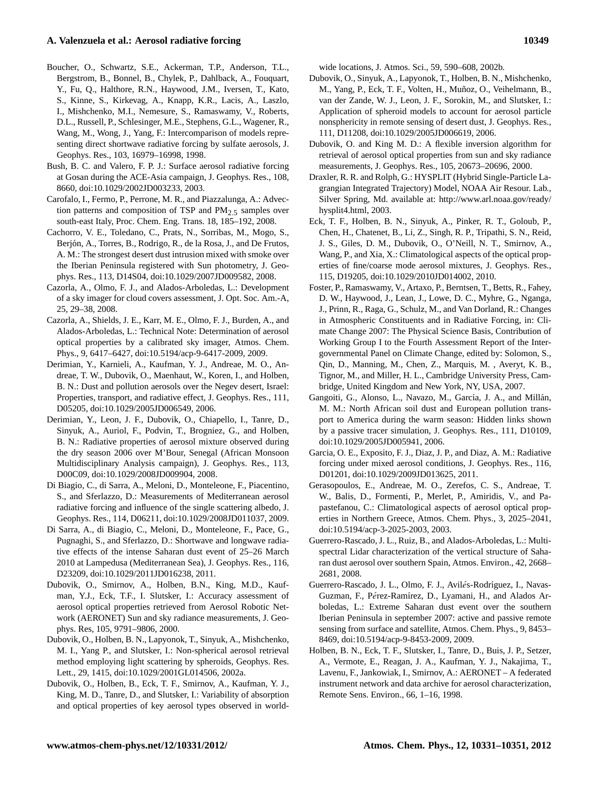# **A. Valenzuela et al.: Aerosol radiative forcing 10349**

- Boucher, O., Schwartz, S.E., Ackerman, T.P., Anderson, T.L., Bergstrom, B., Bonnel, B., Chylek, P., Dahlback, A., Fouquart, Y., Fu, Q., Halthore, R.N., Haywood, J.M., Iversen, T., Kato, S., Kinne, S., Kirkevag, A., Knapp, K.R., Lacis, A., Laszlo, I., Mishchenko, M.I., Nemesure, S., Ramaswamy, V., Roberts, D.L., Russell, P., Schlesinger, M.E., Stephens, G.L., Wagener, R., Wang, M., Wong, J., Yang, F.: Intercomparison of models representing direct shortwave radiative forcing by sulfate aerosols, J. Geophys. Res., 103, 16979–16998, 1998.
- Bush, B. C. and Valero, F. P. J.: Surface aerosol radiative forcing at Gosan during the ACE-Asia campaign, J. Geophys. Res., 108, 8660, doi:10.1029/2002JD003233, 2003.
- Carofalo, I., Fermo, P., Perrone, M. R., and Piazzalunga, A.: Advection patterns and composition of TSP and  $PM_{2.5}$  samples over south-east Italy, Proc. Chem. Eng. Trans. 18, 185–192, 2008.
- Cachorro, V. E., Toledano, C., Prats, N., Sorribas, M., Mogo, S., Berjón, A., Torres, B., Rodrigo, R., de la Rosa, J., and De Frutos, A. M.: The strongest desert dust intrusion mixed with smoke over the Iberian Peninsula registered with Sun photometry, J. Geophys. Res., 113, D14S04, [doi:10.1029/2007JD009582,](http://dx.doi.org/10.1029/2007JD009582) 2008.
- Cazorla, A., Olmo, F. J., and Alados-Arboledas, L.: Development of a sky imager for cloud covers assessment, J. Opt. Soc. Am.-A, 25, 29–38, 2008.
- Cazorla, A., Shields, J. E., Karr, M. E., Olmo, F. J., Burden, A., and Alados-Arboledas, L.: Technical Note: Determination of aerosol optical properties by a calibrated sky imager, Atmos. Chem. Phys., 9, 6417–6427, [doi:10.5194/acp-9-6417-2009,](http://dx.doi.org/10.5194/acp-9-6417-2009) 2009.
- Derimian, Y., Karnieli, A., Kaufman, Y. J., Andreae, M. O., Andreae, T. W., Dubovik, O., Maenhaut, W., Koren, I., and Holben, B. N.: Dust and pollution aerosols over the Negev desert, Israel: Properties, transport, and radiative effect, J. Geophys. Res., 111, D05205, [doi:10.1029/2005JD006549,](http://dx.doi.org/10.1029/2005JD006549) 2006.
- Derimian, Y., Leon, J. F., Dubovik, O., Chiapello, I., Tanre, D., Sinyuk, A., Auriol, F., Podvin, T., Brogniez, G., and Holben, B. N.: Radiative properties of aerosol mixture observed during the dry season 2006 over M'Bour, Senegal (African Monsoon Multidisciplinary Analysis campaign), J. Geophys. Res., 113, D00C09, [doi:10.1029/2008JD009904,](http://dx.doi.org/10.1029/2008JD009904) 2008.
- Di Biagio, C., di Sarra, A., Meloni, D., Monteleone, F., Piacentino, S., and Sferlazzo, D.: Measurements of Mediterranean aerosol radiative forcing and influence of the single scattering albedo, J. Geophys. Res., 114, D06211, [doi:10.1029/2008JD011037,](http://dx.doi.org/10.1029/2008JD011037) 2009.
- Di Sarra, A., di Biagio, C., Meloni, D., Monteleone, F., Pace, G., Pugnaghi, S., and Sferlazzo, D.: Shortwave and longwave radiative effects of the intense Saharan dust event of 25–26 March 2010 at Lampedusa (Mediterranean Sea), J. Geophys. Res., 116, D23209, [doi:10.1029/2011JD016238,](http://dx.doi.org/10.1029/2011JD016238) 2011.
- Dubovik, O., Smirnov, A., Holben, B.N., King, M.D., Kaufman, Y.J., Eck, T.F., I. Slutsker, I.: Accuracy assessment of aerosol optical properties retrieved from Aerosol Robotic Network (AERONET) Sun and sky radiance measurements, J. Geophys. Res, 105, 9791–9806, 2000.
- Dubovik, O., Holben, B. N., Lapyonok, T., Sinyuk, A., Mishchenko, M. I., Yang P., and Slutsker, I.: Non-spherical aerosol retrieval method employing light scattering by spheroids, Geophys. Res. Lett., 29, 1415, [doi:10.1029/2001GL014506,](http://dx.doi.org/10.1029/2001GL014506) 2002a.
- Dubovik, O., Holben, B., Eck, T. F., Smirnov, A., Kaufman, Y. J., King, M. D., Tanre, D., and Slutsker, I.: Variability of absorption and optical properties of key aerosol types observed in world-

wide locations, J. Atmos. Sci., 59, 590–608, 2002b.

- Dubovik, O., Sinyuk, A., Lapyonok, T., Holben, B. N., Mishchenko, M., Yang, P., Eck, T. F., Volten, H., Muñoz, O., Veihelmann, B., van der Zande, W. J., Leon, J. F., Sorokin, M., and Slutsker, I.: Application of spheroid models to account for aerosol particle nonsphericity in remote sensing of desert dust, J. Geophys. Res., 111, D11208, [doi:10.1029/2005JD006619,](http://dx.doi.org/10.1029/2005JD006619) 2006.
- Dubovik, O. and King M. D.: A flexible inversion algorithm for retrieval of aerosol optical properties from sun and sky radiance measurements, J. Geophys. Res., 105, 20673–20696, 2000.
- Draxler, R. R. and Rolph, G.: HYSPLIT (Hybrid Single-Particle Lagrangian Integrated Trajectory) Model, NOAA Air Resour. Lab., Silver Spring, Md. available at: [http://www.arl.noaa.gov/ready/](http://www.arl.noaa.gov/ready/hysplit4.html) [hysplit4.html,](http://www.arl.noaa.gov/ready/hysplit4.html) 2003.
- Eck, T. F., Holben, B. N., Sinyuk, A., Pinker, R. T., Goloub, P., Chen, H., Chatenet, B., Li, Z., Singh, R. P., Tripathi, S. N., Reid, J. S., Giles, D. M., Dubovik, O., O'Neill, N. T., Smirnov, A., Wang, P., and Xia, X.: Climatological aspects of the optical properties of fine/coarse mode aerosol mixtures, J. Geophys. Res., 115, D19205, [doi:10.1029/2010JD014002,](http://dx.doi.org/10.1029/2010JD014002) 2010.
- Foster, P., Ramaswamy, V., Artaxo, P., Berntsen, T., Betts, R., Fahey, D. W., Haywood, J., Lean, J., Lowe, D. C., Myhre, G., Nganga, J., Prinn, R., Raga, G., Schulz, M., and Van Dorland, R.: Changes in Atmospheric Constituents and in Radiative Forcing, in: Climate Change 2007: The Physical Science Basis, Contribution of Working Group I to the Fourth Assessment Report of the Intergovernmental Panel on Climate Change, edited by: Solomon, S., Qin, D., Manning, M., Chen, Z., Marquis, M. , Averyt, K. B., Tignor, M., and Miller, H. L., Cambridge University Press, Cambridge, United Kingdom and New York, NY, USA, 2007.
- Gangoiti, G., Alonso, L., Navazo, M., García, J. A., and Millán, M. M.: North African soil dust and European pollution transport to America during the warm season: Hidden links shown by a passive tracer simulation, J. Geophys. Res., 111, D10109, [doi:10.1029/2005JD005941,](http://dx.doi.org/10.1029/2005JD005941) 2006.
- Garcia, O. E., Exposito, F. J., Diaz, J. P., and Diaz, A. M.: Radiative forcing under mixed aerosol conditions, J. Geophys. Res., 116, D01201, [doi:10.1029/2009JD013625,](http://dx.doi.org/10.1029/2009JD013625) 2011.
- Gerasopoulos, E., Andreae, M. O., Zerefos, C. S., Andreae, T. W., Balis, D., Formenti, P., Merlet, P., Amiridis, V., and Papastefanou, C.: Climatological aspects of aerosol optical properties in Northern Greece, Atmos. Chem. Phys., 3, 2025–2041, [doi:10.5194/acp-3-2025-2003,](http://dx.doi.org/10.5194/acp-3-2025-2003) 2003.
- Guerrero-Rascado, J. L., Ruiz, B., and Alados-Arboledas, L.: Multispectral Lidar characterization of the vertical structure of Saharan dust aerosol over southern Spain, Atmos. Environ., 42, 2668– 2681, 2008.
- Guerrero-Rascado, J. L., Olmo, F. J., Avilés-Rodríguez, I., Navas-Guzman, F., Pérez-Ramírez, D., Lyamani, H., and Alados Arboledas, L.: Extreme Saharan dust event over the southern Iberian Peninsula in september 2007: active and passive remote sensing from surface and satellite, Atmos. Chem. Phys., 9, 8453– 8469, [doi:10.5194/acp-9-8453-2009,](http://dx.doi.org/10.5194/acp-9-8453-2009) 2009.
- Holben, B. N., Eck, T. F., Slutsker, I., Tanre, D., Buis, J. P., Setzer, A., Vermote, E., Reagan, J. A., Kaufman, Y. J., Nakajima, T., Lavenu, F., Jankowiak, I., Smirnov, A.: AERONET – A federated instrument network and data archive for aerosol characterization, Remote Sens. Environ., 66, 1–16, 1998.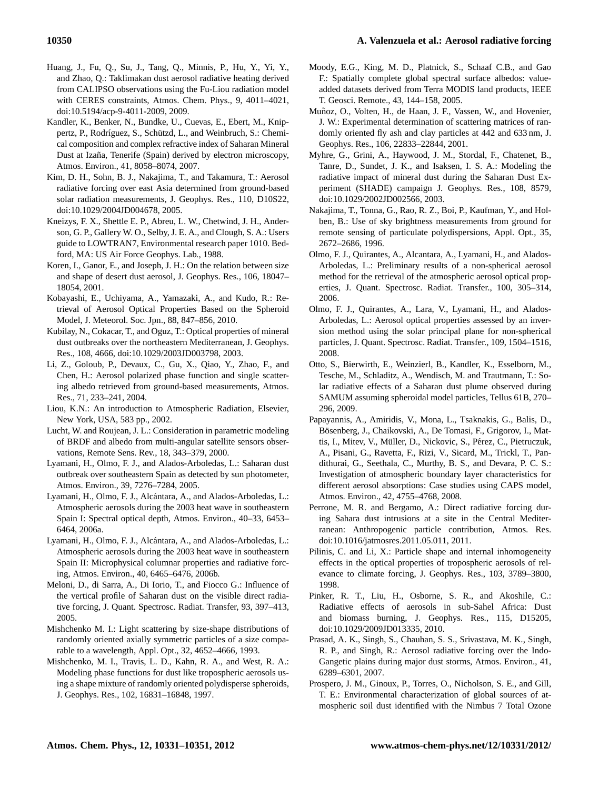- Huang, J., Fu, Q., Su, J., Tang, Q., Minnis, P., Hu, Y., Yi, Y., and Zhao, Q.: Taklimakan dust aerosol radiative heating derived from CALIPSO observations using the Fu-Liou radiation model with CERES constraints, Atmos. Chem. Phys., 9, 4011–4021, [doi:10.5194/acp-9-4011-2009,](http://dx.doi.org/10.5194/acp-9-4011-2009) 2009.
- Kandler, K., Benker, N., Bundke, U., Cuevas, E., Ebert, M., Knippertz, P., Rodríguez, S., Schützd, L., and Weinbruch, S.: Chemical composition and complex refractive index of Saharan Mineral Dust at Izaña, Tenerife (Spain) derived by electron microscopy, Atmos. Environ., 41, 8058–8074, 2007.
- Kim, D. H., Sohn, B. J., Nakajima, T., and Takamura, T.: Aerosol radiative forcing over east Asia determined from ground-based solar radiation measurements, J. Geophys. Res., 110, D10S22, [doi:10.1029/2004JD004678,](http://dx.doi.org/10.1029/2004JD004678) 2005.
- Kneizys, F. X., Shettle E. P., Abreu, L. W., Chetwind, J. H., Anderson, G. P., Gallery W. O., Selby, J. E. A., and Clough, S. A.: Users guide to LOWTRAN7, Environmental research paper 1010. Bedford, MA: US Air Force Geophys. Lab., 1988.
- Koren, I., Ganor, E., and Joseph, J. H.: On the relation between size and shape of desert dust aerosol, J. Geophys. Res., 106, 18047– 18054, 2001.
- Kobayashi, E., Uchiyama, A., Yamazaki, A., and Kudo, R.: Retrieval of Aerosol Optical Properties Based on the Spheroid Model, J. Meteorol. Soc. Jpn., 88, 847–856, 2010.
- Kubilay, N., Cokacar, T., and Oguz, T.: Optical properties of mineral dust outbreaks over the northeastern Mediterranean, J. Geophys. Res., 108, 4666, [doi:10.1029/2003JD003798,](http://dx.doi.org/10.1029/2003JD003798) 2003.
- Li, Z., Goloub, P., Devaux, C., Gu, X., Qiao, Y., Zhao, F., and Chen, H.: Aerosol polarized phase function and single scattering albedo retrieved from ground-based measurements, Atmos. Res., 71, 233–241, 2004.
- Liou, K.N.: An introduction to Atmospheric Radiation, Elsevier, New York, USA, 583 pp., 2002.
- Lucht, W. and Roujean, J. L.: Consideration in parametric modeling of BRDF and albedo from multi-angular satellite sensors observations, Remote Sens. Rev., 18, 343–379, 2000.
- Lyamani, H., Olmo, F. J., and Alados-Arboledas, L.: Saharan dust outbreak over southeastern Spain as detected by sun photometer, Atmos. Environ., 39, 7276–7284, 2005.
- Lyamani, H., Olmo, F. J., Alcántara, A., and Alados-Arboledas, L.: Atmospheric aerosols during the 2003 heat wave in southeastern Spain I: Spectral optical depth, Atmos. Environ., 40–33, 6453– 6464, 2006a.
- Lyamani, H., Olmo, F. J., Alcántara, A., and Alados-Arboledas, L.: Atmospheric aerosols during the 2003 heat wave in southeastern Spain II: Microphysical columnar properties and radiative forcing, Atmos. Environ., 40, 6465–6476, 2006b.
- Meloni, D., di Sarra, A., Di Iorio, T., and Fiocco G.: Influence of the vertical profile of Saharan dust on the visible direct radiative forcing, J. Quant. Spectrosc. Radiat. Transfer, 93, 397–413, 2005.
- Mishchenko M. I.: Light scattering by size-shape distributions of randomly oriented axially symmetric particles of a size comparable to a wavelength, Appl. Opt., 32, 4652–4666, 1993.
- Mishchenko, M. I., Travis, L. D., Kahn, R. A., and West, R. A.: Modeling phase functions for dust like tropospheric aerosols using a shape mixture of randomly oriented polydisperse spheroids, J. Geophys. Res., 102, 16831–16848, 1997.
- Moody, E.G., King, M. D., Platnick, S., Schaaf C.B., and Gao F.: Spatially complete global spectral surface albedos: valueadded datasets derived from Terra MODIS land products, IEEE T. Geosci. Remote., 43, 144–158, 2005.
- Muñoz, O., Volten, H., de Haan, J. F., Vassen, W., and Hovenier, J. W.: Experimental determination of scattering matrices of randomly oriented fly ash and clay particles at 442 and 633 nm, J. Geophys. Res., 106, 22833–22844, 2001.
- Myhre, G., Grini, A., Haywood, J. M., Stordal, F., Chatenet, B., Tanre, D., Sundet, J. K., and Isaksen, I. S. A.: Modeling the radiative impact of mineral dust during the Saharan Dust Experiment (SHADE) campaign J. Geophys. Res., 108, 8579, [doi:10.1029/2002JD002566,](http://dx.doi.org/10.1029/2002JD002566) 2003.
- Nakajima, T., Tonna, G., Rao, R. Z., Boi, P., Kaufman, Y., and Holben, B.: Use of sky brightness measurements from ground for remote sensing of particulate polydispersions, Appl. Opt., 35, 2672–2686, 1996.
- Olmo, F. J., Quirantes, A., Alcantara, A., Lyamani, H., and Alados-Arboledas, L.: Preliminary results of a non-spherical aerosol method for the retrieval of the atmospheric aerosol optical properties, J. Quant. Spectrosc. Radiat. Transfer., 100, 305–314, 2006.
- Olmo, F. J., Quirantes, A., Lara, V., Lyamani, H., and Alados-Arboledas, L.: Aerosol optical properties assessed by an inversion method using the solar principal plane for non-spherical particles, J. Quant. Spectrosc. Radiat. Transfer., 109, 1504–1516, 2008.
- Otto, S., Bierwirth, E., Weinzierl, B., Kandler, K., Esselborn, M., Tesche, M., Schladitz, A., Wendisch, M. and Trautmann, T.: Solar radiative effects of a Saharan dust plume observed during SAMUM assuming spheroidal model particles, Tellus 61B, 270– 296, 2009.
- Papayannis, A., Amiridis, V., Mona, L., Tsaknakis, G., Balis, D., Bösenberg, J., Chaikovski, A., De Tomasi, F., Grigorov, I., Mattis, I., Mitev, V., Müller, D., Nickovic, S., Pérez, C., Pietruczuk, A., Pisani, G., Ravetta, F., Rizi, V., Sicard, M., Trickl, T., Pandithurai, G., Seethala, C., Murthy, B. S., and Devara, P. C. S.: Investigation of atmospheric boundary layer characteristics for different aerosol absorptions: Case studies using CAPS model, Atmos. Environ., 42, 4755–4768, 2008.
- Perrone, M. R. and Bergamo, A.: Direct radiative forcing during Sahara dust intrusions at a site in the Central Mediterranean: Anthropogenic particle contribution, Atmos. Res. [doi:10.1016/jatmosres.2011.05.011,](http://dx.doi.org/10.1016/jatmosres.2011.05.011) 2011.
- Pilinis, C. and Li, X.: Particle shape and internal inhomogeneity effects in the optical properties of tropospheric aerosols of relevance to climate forcing, J. Geophys. Res., 103, 3789–3800, 1998.
- Pinker, R. T., Liu, H., Osborne, S. R., and Akoshile, C.: Radiative effects of aerosols in sub-Sahel Africa: Dust and biomass burning, J. Geophys. Res., 115, D15205, [doi:10.1029/2009JD013335,](http://dx.doi.org/10.1029/2009JD013335) 2010.
- Prasad, A. K., Singh, S., Chauhan, S. S., Srivastava, M. K., Singh, R. P., and Singh, R.: Aerosol radiative forcing over the Indo-Gangetic plains during major dust storms, Atmos. Environ., 41, 6289–6301, 2007.
- Prospero, J. M., Ginoux, P., Torres, O., Nicholson, S. E., and Gill, T. E.: Environmental characterization of global sources of atmospheric soil dust identified with the Nimbus 7 Total Ozone